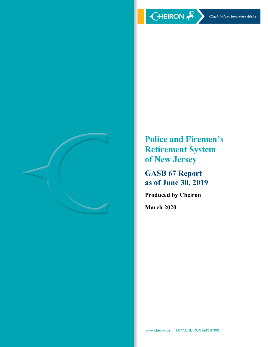

**Police and Firemen's Retirement System of New Jersey**

**GASB 67 Report as of June 30, 2019**

**Produced by Cheiron**

**March 2020**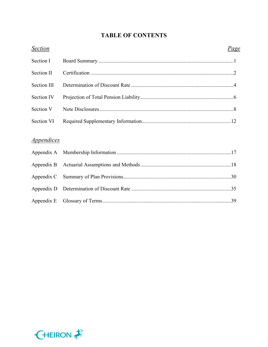# **TABLE OF CONTENTS**

| <b>Section</b>                  | <u>Page</u> |
|---------------------------------|-------------|
| Section I                       |             |
| Section II                      |             |
| Section III                     |             |
| Section IV                      |             |
| Section V                       |             |
| Section VI                      |             |
| <i><u><b>Appendices</b></u></i> |             |
|                                 |             |
| Appendix A                      |             |
| Appendix B                      |             |
| Appendix C                      |             |
| Appendix D                      |             |
| Appendix E                      |             |

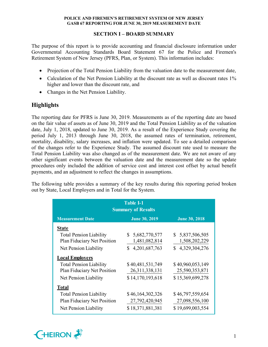# **SECTION I – BOARD SUMMARY**

The purpose of this report is to provide accounting and financial disclosure information under Governmental Accounting Standards Board Statement 67 for the Police and Firemen's Retirement System of New Jersey (PFRS, Plan, or System). This information includes:

- Projection of the Total Pension Liability from the valuation date to the measurement date,
- Calculation of the Net Pension Liability at the discount rate as well as discount rates 1% higher and lower than the discount rate, and
- Changes in the Net Pension Liability.

# **Highlights**

The reporting date for PFRS is June 30, 2019. Measurements as of the reporting date are based on the fair value of assets as of June 30, 2019 and the Total Pension Liability as of the valuation date, July 1, 2018, updated to June 30, 2019. As a result of the Experience Study covering the period July 1, 2013 through June 30, 2018, the assumed rates of termination, retirement, mortality, disability, salary increases, and inflation were updated. To see a detailed comparison of the changes refer to the Experience Study. The assumed discount rate used to measure the Total Pension Liability was also changed as of the measurement date. We are not aware of any other significant events between the valuation date and the measurement date so the update procedures only included the addition of service cost and interest cost offset by actual benefit payments, and an adjustment to reflect the changes in assumptions.

The following table provides a summary of the key results during this reporting period broken out by State, Local Employers and in Total for the System.

| <b>Table I-1</b><br><b>Summary of Results</b>                 |                                       |                                    |  |  |  |  |  |  |  |
|---------------------------------------------------------------|---------------------------------------|------------------------------------|--|--|--|--|--|--|--|
| <b>Measurement Date</b>                                       | <b>June 30, 2019</b>                  | <b>June 30, 2018</b>               |  |  |  |  |  |  |  |
| <b>State</b>                                                  |                                       |                                    |  |  |  |  |  |  |  |
| <b>Total Pension Liability</b><br>Plan Fiduciary Net Position | \$5,682,770,577<br>1,481,082,814      | \$5,837,506,505<br>1,508,202,229   |  |  |  |  |  |  |  |
| Net Pension Liability                                         | \$4,201,687,763                       | \$4,329,304,276                    |  |  |  |  |  |  |  |
| <b>Local Employers</b>                                        |                                       |                                    |  |  |  |  |  |  |  |
| <b>Total Pension Liability</b><br>Plan Fiduciary Net Position | \$40,481,531,749<br>26, 311, 338, 131 | \$40,960,053,149<br>25,590,353,871 |  |  |  |  |  |  |  |
| Net Pension Liability                                         | \$14,170,193,618                      | \$15,369,699,278                   |  |  |  |  |  |  |  |
| <b>Total</b>                                                  |                                       |                                    |  |  |  |  |  |  |  |
| <b>Total Pension Liability</b>                                | \$46,164,302,326                      | \$46,797,559,654                   |  |  |  |  |  |  |  |
| Plan Fiduciary Net Position                                   | 27,792,420,945                        | 27,098,556,100                     |  |  |  |  |  |  |  |
| Net Pension Liability                                         | \$18,371,881,381                      | \$19,699,003,554                   |  |  |  |  |  |  |  |

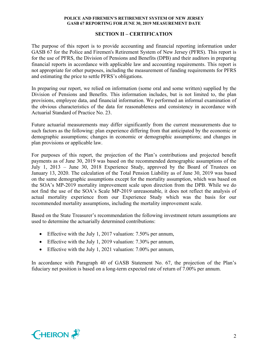# **SECTION II – CERTIFICATION**

The purpose of this report is to provide accounting and financial reporting information under GASB 67 for the Police and Firemen's Retirement System of New Jersey (PFRS). This report is for the use of PFRS, the Division of Pensions and Benefits (DPB) and their auditors in preparing financial reports in accordance with applicable law and accounting requirements. This report is not appropriate for other purposes, including the measurement of funding requirements for PFRS and estimating the price to settle PFRS's obligations.

In preparing our report, we relied on information (some oral and some written) supplied by the Division of Pensions and Benefits. This information includes, but is not limited to, the plan provisions, employee data, and financial information. We performed an informal examination of the obvious characteristics of the data for reasonableness and consistency in accordance with Actuarial Standard of Practice No. 23.

Future actuarial measurements may differ significantly from the current measurements due to such factors as the following: plan experience differing from that anticipated by the economic or demographic assumptions; changes in economic or demographic assumptions; and changes in plan provisions or applicable law.

For purposes of this report, the projection of the Plan's contributions and projected benefit payments as of June 30, 2019 was based on the recommended demographic assumptions of the July 1, 2013 – June 30, 2018 Experience Study, approved by the Board of Trustees on January 13, 2020. The calculation of the Total Pension Liability as of June 30, 2019 was based on the same demographic assumptions except for the mortality assumption, which was based on the SOA's MP-2019 mortality improvement scale upon direction from the DPB. While we do not find the use of the SOA's Scale MP-2019 unreasonable, it does not reflect the analysis of actual mortality experience from our Experience Study which was the basis for our recommended mortality assumptions, including the mortality improvement scale.

Based on the State Treasurer's recommendation the following investment return assumptions are used to determine the actuarially determined contributions:

- Effective with the July 1, 2017 valuation: 7.50% per annum,
- Effective with the July 1, 2019 valuation: 7.30% per annum,
- Effective with the July 1, 2021 valuation: 7.00% per annum,

In accordance with Paragraph 40 of GASB Statement No. 67, the projection of the Plan's fiduciary net position is based on a long-term expected rate of return of 7.00% per annum.

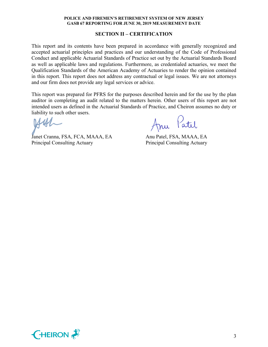# **SECTION II – CERTIFICATION**

This report and its contents have been prepared in accordance with generally recognized and accepted actuarial principles and practices and our understanding of the Code of Professional Conduct and applicable Actuarial Standards of Practice set out by the Actuarial Standards Board as well as applicable laws and regulations. Furthermore, as credentialed actuaries, we meet the Qualification Standards of the American Academy of Actuaries to render the opinion contained in this report. This report does not address any contractual or legal issues. We are not attorneys and our firm does not provide any legal services or advice.

This report was prepared for PFRS for the purposes described herein and for the use by the plan auditor in completing an audit related to the matters herein. Other users of this report are not intended users as defined in the Actuarial Standards of Practice, and Cheiron assumes no duty or liability to such other users.

Janet Cranna, FSA, FCA, MAAA, EA Anu Patel, FSA, MAAA, EA Principal Consulting Actuary Principal Consulting Actuary

Anu Patil

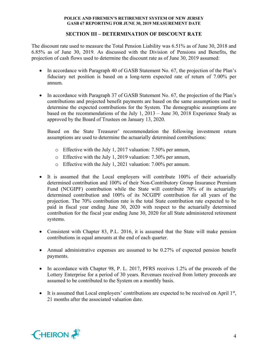# **SECTION III – DETERMINATION OF DISCOUNT RATE**

The discount rate used to measure the Total Pension Liability was 6.51% as of June 30, 2018 and 6.85% as of June 30, 2019. As discussed with the Division of Pensions and Benefits, the projection of cash flows used to determine the discount rate as of June 30, 2019 assumed:

- In accordance with Paragraph 40 of GASB Statement No. 67, the projection of the Plan's fiduciary net position is based on a long-term expected rate of return of 7.00% per annum.
- In accordance with Paragraph 37 of GASB Statement No. 67, the projection of the Plan's contributions and projected benefit payments are based on the same assumptions used to determine the expected contributions for the System. The demographic assumptions are based on the recommendations of the July 1, 2013 – June 30, 2018 Experience Study as approved by the Board of Trustees on January 13, 2020.

Based on the State Treasurer' recommendation the following investment return assumptions are used to determine the actuarially determined contributions:

- o Effective with the July 1, 2017 valuation: 7.50% per annum,
- o Effective with the July 1, 2019 valuation: 7.30% per annum,
- o Effective with the July 1, 2021 valuation: 7.00% per annum.
- It is assumed that the Local employers will contribute 100% of their actuarially determined contribution and 100% of their Non-Contributory Group Insurance Premium Fund (NCGIPF) contribution while the State will contribute 70% of its actuarially determined contribution and 100% of its NCGIPF contribution for all years of the projection. The 70% contribution rate is the total State contribution rate expected to be paid in fiscal year ending June 30, 2020 with respect to the actuarially determined contribution for the fiscal year ending June 30, 2020 for all State administered retirement systems.
- Consistent with Chapter 83, P.L. 2016, it is assumed that the State will make pension contributions in equal amounts at the end of each quarter.
- Annual administrative expenses are assumed to be 0.27% of expected pension benefit payments.
- In accordance with Chapter 98, P. L. 2017, PFRS receives 1.2% of the proceeds of the Lottery Enterprise for a period of 30 years. Revenues received from lottery proceeds are assumed to be contributed to the System on a monthly basis.
- It is assumed that Local employers' contributions are expected to be received on April  $1<sup>st</sup>$ , 21 months after the associated valuation date.

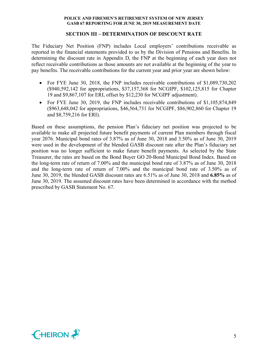# **SECTION III – DETERMINATION OF DISCOUNT RATE**

The Fiduciary Net Position (FNP) includes Local employers' contributions receivable as reported in the financial statements provided to us by the Division of Pensions and Benefits. In determining the discount rate in Appendix D, the FNP at the beginning of each year does not reflect receivable contributions as those amounts are not available at the beginning of the year to pay benefits. The receivable contributions for the current year and prior year are shown below:

- For FYE June 30, 2018, the FNP includes receivable contributions of \$1,089,730,202 (\$940,592,142 for appropriations, \$37,157,368 for NCGIPF, \$102,125,815 for Chapter 19 and \$9,867,107 for ERI, offset by \$12,230 for NCGIPF adjustment).
- For FYE June 30, 2019, the FNP includes receivable contributions of \$1,105,874,849 (\$963,648,042 for appropriations, \$46,564,731 for NCGIPF, \$86,902,860 for Chapter 19 and \$8,759,216 for ERI).

Based on these assumptions, the pension Plan's fiduciary net position was projected to be available to make all projected future benefit payments of current Plan members through fiscal year 2076. Municipal bond rates of 3.87% as of June 30, 2018 and 3.50% as of June 30, 2019 were used in the development of the blended GASB discount rate after the Plan's fiduciary net position was no longer sufficient to make future benefit payments. As selected by the State Treasurer, the rates are based on the Bond Buyer GO 20-Bond Municipal Bond Index. Based on the long-term rate of return of 7.00% and the municipal bond rate of 3.87% as of June 30, 2018 and the long-term rate of return of 7.00% and the municipal bond rate of 3.50% as of June 30, 2019, the blended GASB discount rates are 6.51% as of June 30, 2018 and **6.85%** as of June 30, 2019. The assumed discount rates have been determined in accordance with the method prescribed by GASB Statement No. 67.

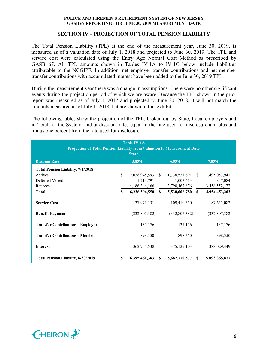# **SECTION IV – PROJECTION OF TOTAL PENSION LIABILITY**

The Total Pension Liability (TPL) at the end of the measurement year, June 30, 2019, is measured as of a valuation date of July 1, 2018 and projected to June 30, 2019. The TPL and service cost were calculated using the Entry Age Normal Cost Method as prescribed by GASB 67. All TPL amounts shown in Tables IV-1A to IV-1C below include liabilities attributable to the NCGIPF. In addition, net employer transfer contributions and net member transfer contributions with accumulated interest have been added to the June 30, 2019 TPL.

During the measurement year there was a change in assumptions. There were no other significant events during the projection period of which we are aware. Because the TPL shown in the prior report was measured as of July 1, 2017 and projected to June 30, 2018, it will not match the amounts measured as of July 1, 2018 that are shown in this exhibit.

The following tables show the projection of the TPL, broken out by State, Local employers and in Total for the System, and at discount rates equal to the rate used for disclosure and plus and minus one percent from the rate used for disclosure.

| <b>Table IV-1A</b><br>Projection of Total Pension Liability from Valuation to Measurement Date<br><b>State</b> |    |                  |               |               |               |                 |  |
|----------------------------------------------------------------------------------------------------------------|----|------------------|---------------|---------------|---------------|-----------------|--|
| <b>Discount Rate</b>                                                                                           |    | 5.85%            |               | 6.85%         |               | 7.85%           |  |
| <b>Total Pension Liability, 7/1/2018</b>                                                                       |    |                  |               |               |               |                 |  |
| Actives                                                                                                        | \$ | 2,038,948,593 \$ |               | 1,738,531,691 | -S            | 1,495,053,941   |  |
| Deferred Vested                                                                                                |    | 1,213,791        |               | 1,007,413     |               | 847,084         |  |
| Retirees                                                                                                       |    | 4, 186, 344, 166 |               | 3,790,467,676 |               | 3,458,552,177   |  |
| <b>Total</b>                                                                                                   | \$ | 6,226,506,550    | $\mathbf{s}$  | 5,530,006,780 | $\mathbf{s}$  | 4,954,453,202   |  |
| <b>Service Cost</b>                                                                                            |    | 137,971,131      |               | 109,410,550   |               | 87,655,082      |  |
| <b>Benefit Payments</b>                                                                                        |    | (332,807,382)    |               | (332,807,382) |               | (332, 807, 382) |  |
| <b>Transfer Contributions - Employer</b>                                                                       |    | 137,176          |               | 137,176       |               | 137,176         |  |
| <b>Transfer Contributions - Member</b>                                                                         |    | 898,350          |               | 898,350       |               | 898,350         |  |
| <b>Interest</b>                                                                                                |    | 362,755,538      |               | 375, 125, 103 |               | 383,029,449     |  |
| <b>Total Pension Liability, 6/30/2019</b>                                                                      | S  | 6,395,461,363    | <sup>\$</sup> | 5,682,770,577 | <sup>\$</sup> | 5,093,365,877   |  |

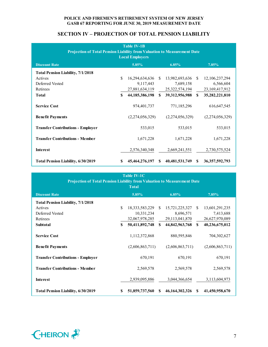# **SECTION IV – PROJECTION OF TOTAL PENSION LIABILITY**

| <b>Table IV-1B</b><br>Projection of Total Pension Liability from Valuation to Measurement Date<br><b>Local Employers</b> |          |                   |               |                 |               |                   |  |  |  |
|--------------------------------------------------------------------------------------------------------------------------|----------|-------------------|---------------|-----------------|---------------|-------------------|--|--|--|
| <b>Discount Rate</b>                                                                                                     |          | 5.85%             |               | 6.85%           |               | 7.85%             |  |  |  |
| <b>Total Pension Liability, 7/1/2018</b>                                                                                 |          |                   |               |                 |               |                   |  |  |  |
| Actives                                                                                                                  | \$       | 16,294,634,636 \$ |               | 13,982,693,636  | <sup>\$</sup> | 12,106,237,294    |  |  |  |
| Deferred Vested                                                                                                          |          | 9,117,443         |               | 7,689,158       |               | 6,566,604         |  |  |  |
| Retirees                                                                                                                 |          | 27,881,634,119    |               | 25,322,574,194  |               | 23,169,417,912    |  |  |  |
| <b>Total</b>                                                                                                             | \$       | 44,185,386,198    | $\mathbf{s}$  | 39,312,956,988  | $\mathbf{s}$  | 35,282,221,810    |  |  |  |
| <b>Service Cost</b>                                                                                                      |          | 974,401,737       |               | 771,185,296     |               | 616, 647, 545     |  |  |  |
| <b>Benefit Payments</b>                                                                                                  |          | (2,274,056,329)   |               | (2,274,056,329) |               | (2,274,056,329)   |  |  |  |
| <b>Transfer Contributions - Employer</b>                                                                                 |          | 533,015           |               | 533,015         |               | 533,015           |  |  |  |
| <b>Transfer Contributions - Member</b>                                                                                   |          | 1,671,228         |               | 1,671,228       |               | 1,671,228         |  |  |  |
| <b>Interest</b>                                                                                                          |          | 2,576,340,348     |               | 2,669,241,551   |               | 2,730,575,524     |  |  |  |
| <b>Total Pension Liability, 6/30/2019</b>                                                                                | <b>S</b> | 45,464,276,197    | <sup>\$</sup> | 40,481,531,749  | <sup>\$</sup> | 36, 357, 592, 793 |  |  |  |

| <b>Table IV-1C</b><br>Projection of Total Pension Liability from Valuation to Measurement Date<br><b>Total</b> |    |                   |               |                   |              |                 |  |  |
|----------------------------------------------------------------------------------------------------------------|----|-------------------|---------------|-------------------|--------------|-----------------|--|--|
| <b>Discount Rate</b>                                                                                           |    | 5.85%             |               | 6.85%             |              | 7.85%           |  |  |
| <b>Total Pension Liability, 7/1/2018</b>                                                                       |    |                   |               |                   |              |                 |  |  |
| Actives                                                                                                        | S. | 18, 333, 583, 229 | -S            | 15,721,225,327    | -S           | 13,601,291,235  |  |  |
| Deferred Vested                                                                                                |    | 10,331,234        |               | 8,696,571         |              | 7,413,688       |  |  |
| Retirees                                                                                                       |    | 32,067,978,285    |               | 29, 113, 041, 870 |              | 26,627,970,089  |  |  |
| <b>Subtotal</b>                                                                                                | \$ | 50,411,892,748    | $\mathbf{S}$  | 44,842,963,768    | $\mathbf{s}$ | 40,236,675,012  |  |  |
| <b>Service Cost</b>                                                                                            |    | 1,112,372,868     |               | 880,595,846       |              | 704,302,627     |  |  |
| <b>Benefit Payments</b>                                                                                        |    | (2,606,863,711)   |               | (2,606,863,711)   |              | (2,606,863,711) |  |  |
| <b>Transfer Contributions - Employer</b>                                                                       |    | 670,191           |               | 670,191           |              | 670,191         |  |  |
| <b>Transfer Contributions - Member</b>                                                                         |    | 2,569,578         |               | 2,569,578         |              | 2,569,578       |  |  |
| <b>Interest</b>                                                                                                |    | 2,939,095,886     |               | 3,044,366,654     |              | 3,113,604,973   |  |  |
| <b>Total Pension Liability, 6/30/2019</b>                                                                      | S  | 51,859,737,560    | <sup>\$</sup> | 46, 164, 302, 326 | S            | 41,450,958,670  |  |  |

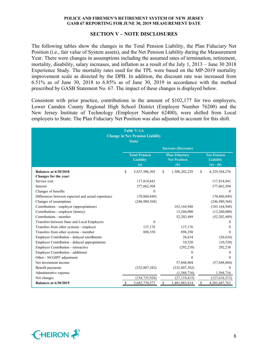### **SECTION V – NOTE DISCLOSURES**

The following tables show the changes in the Total Pension Liability, the Plan Fiduciary Net Position (i.e., fair value of System assets), and the Net Pension Liability during the Measurement Year. There were changes in assumptions including the assumed rates of termination, retirement, mortality, disability, salary increases, and inflation as a result of the July 1, 2013 – June 30 2018 Experience Study. The mortality rates used for the TPL were based on the MP-2019 mortality improvement scale as directed by the DPB. In addition, the discount rate was increased from 6.51% as of June 30, 2018 to 6.85% as of June 30, 2019 in accordance with the method prescribed by GASB Statement No. 67. The impact of these changes is displayed below.

Consistent with prior practice, contributions in the amount of \$102,177 for two employers, Lower Camden County Regional High School District (Employer Number 76200) and the New Jersey Institute of Technology (Employer Number 62400), were shifted from Local employers to State. The Plan Fiduciary Net Position was also adjusted to account for this shift.

|                                                       | <b>Table V-1A</b><br><b>Change in Net Pension Liability</b><br><b>State</b> |                    |                                                     |                                                       |
|-------------------------------------------------------|-----------------------------------------------------------------------------|--------------------|-----------------------------------------------------|-------------------------------------------------------|
|                                                       |                                                                             |                    | <b>Increase (Decrease)</b>                          |                                                       |
|                                                       | <b>Total Pension</b><br><b>Liability</b><br>(a)                             |                    | <b>Plan Fiduciary</b><br><b>Net Position</b><br>(b) | <b>Net Pension</b><br><b>Liability</b><br>$(a) - (b)$ |
| <b>Balances at 6/30/2018</b><br>Changes for the year: | \$<br>5,837,506,505                                                         | \$                 | 1,508,202,229                                       | \$<br>4,329,304,276                                   |
| Service cost                                          | 117,814,841                                                                 |                    |                                                     | 117,814,841                                           |
| Interest                                              | 377,062,504                                                                 |                    |                                                     | 377,062,504                                           |
| Changes of benefits                                   | $\theta$                                                                    |                    |                                                     | 0                                                     |
| Differences between expected and actual experience    | (70, 860, 849)                                                              |                    |                                                     | (70, 860, 849)                                        |
| Changes of assumptions                                | (246,980,568)                                                               |                    |                                                     | (246,980,568)                                         |
| Contributions - employer (appropriations)             |                                                                             |                    | 183, 164, 948                                       | (183, 164, 948)                                       |
| Contributions - employer (lottery)                    |                                                                             |                    | 13,260,000                                          | (13,260,000)                                          |
| Contributions - member                                |                                                                             |                    | 52,202,489                                          | (52, 202, 489)                                        |
| Transfers between State and Local Employers           | $\theta$                                                                    |                    |                                                     |                                                       |
| Transfers from other systems - employer               | 137,176                                                                     |                    | 137,176                                             | 0                                                     |
| Transfers from other systems - member                 | 898,350                                                                     |                    | 898,350                                             | 0                                                     |
| Employer Contribution - delayed enrollments           |                                                                             |                    | 26,634                                              | (26, 634)                                             |
| Employer Contribution - delayed appropriations        |                                                                             |                    | 10,520                                              | (10, 520)                                             |
| Employer Contribution - retroactive                   |                                                                             |                    | (292, 238)                                          | 292,238                                               |
| Employer Contribution - additional                    |                                                                             |                    | 0                                                   |                                                       |
| Other - NCGIPF adjustment                             |                                                                             |                    | $\Omega$                                            | 0                                                     |
| Net investment income                                 |                                                                             |                    | 57,848,804                                          | (57, 848, 804)                                        |
| Benefit payments                                      | (332, 807, 382)                                                             |                    | (332, 807, 382)                                     | 0                                                     |
| Administrative expense                                |                                                                             |                    | (1,568,716)                                         | 1,568,716                                             |
| Net changes                                           | (154, 735, 928)                                                             |                    | (27, 119, 415)                                      | (127, 616, 513)                                       |
| <b>Balances at 6/30/2019</b>                          | \$<br>5,682,770,577                                                         | $\mathbf{\hat{s}}$ | 1,481,082,814                                       | \$<br>4, 201, 687, 763                                |

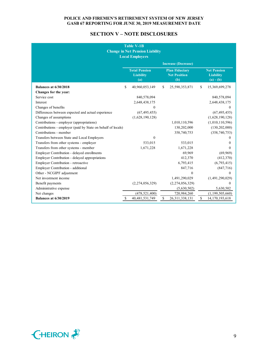# **SECTION V – NOTE DISCLOSURES**

| <b>Table V-1B</b><br><b>Change in Net Pension Liability</b><br><b>Local Employers</b> |    |                                                 |    |                                                     |    |                                                       |  |
|---------------------------------------------------------------------------------------|----|-------------------------------------------------|----|-----------------------------------------------------|----|-------------------------------------------------------|--|
|                                                                                       |    |                                                 |    | <b>Increase (Decrease)</b>                          |    |                                                       |  |
|                                                                                       |    | <b>Total Pension</b><br><b>Liability</b><br>(a) |    | <b>Plan Fiduciary</b><br><b>Net Position</b><br>(b) |    | <b>Net Pension</b><br><b>Liability</b><br>$(a) - (b)$ |  |
| <b>Balances at 6/30/2018</b>                                                          | \$ | 40,960,053,149                                  | \$ | 25,590,353,871                                      | \$ | 15,369,699,278                                        |  |
| Changes for the year:                                                                 |    |                                                 |    |                                                     |    |                                                       |  |
| Service cost                                                                          |    | 840,578,094                                     |    |                                                     |    | 840,578,094                                           |  |
| Interest                                                                              |    | 2,648,438,175                                   |    |                                                     |    | 2,648,438,175                                         |  |
| Changes of benefits                                                                   |    | $\Omega$                                        |    |                                                     |    | $\Omega$                                              |  |
| Differences between expected and actual experience                                    |    | (67, 495, 455)                                  |    |                                                     |    | (67, 495, 455)                                        |  |
| Changes of assumptions                                                                |    | (1,628,190,128)                                 |    |                                                     |    | (1,628,190,128)                                       |  |
| Contributions - employer (appropriations)                                             |    |                                                 |    | 1,010,110,596                                       |    | (1,010,110,596)                                       |  |
| Contributions - employer (paid by State on behalf of locals)                          |    |                                                 |    | 130,202,000                                         |    | (130, 202, 000)                                       |  |
| Contributions - member                                                                |    |                                                 |    | 358,740,753                                         |    | (358, 740, 753)                                       |  |
| Transfers between State and Local Employers                                           |    | $\mathbf{0}$                                    |    |                                                     |    | $_{0}$                                                |  |
| Transfers from other systems - employer                                               |    | 533,015                                         |    | 533,015                                             |    | 0                                                     |  |
| Transfers from other systems - member                                                 |    | 1,671,228                                       |    | 1,671,228                                           |    | $\theta$                                              |  |
| Employer Contribution - delayed enrollments                                           |    |                                                 |    | 69,969                                              |    | (69,969)                                              |  |
| Employer Contribution - delayed appropriations                                        |    |                                                 |    | 412,370                                             |    | (412,370)                                             |  |
| Employer Contribution - retroactive                                                   |    |                                                 |    | 6,793,415                                           |    | (6,793,415)                                           |  |
| Employer Contribution - additional                                                    |    |                                                 |    | 847,716                                             |    | (847,716)                                             |  |
| Other - NCGIPF adjustment                                                             |    |                                                 |    | $\Omega$                                            |    | $\theta$                                              |  |
| Net investment income                                                                 |    |                                                 |    | 1,491,290,029                                       |    | (1,491,290,029)                                       |  |
| Benefit payments                                                                      |    | (2,274,056,329)                                 |    | (2,274,056,329)                                     |    | $\theta$                                              |  |
| Administrative expense                                                                |    |                                                 |    | (5,630,502)                                         |    | 5,630,502                                             |  |
| Net changes                                                                           |    | (478, 521, 400)                                 |    | 720,984,260                                         |    | (1, 199, 505, 660)                                    |  |
| <b>Balances at 6/30/2019</b>                                                          | \$ | 40, 481, 531, 749                               | \$ | 26, 311, 338, 131                                   | \$ | 14, 170, 193, 618                                     |  |

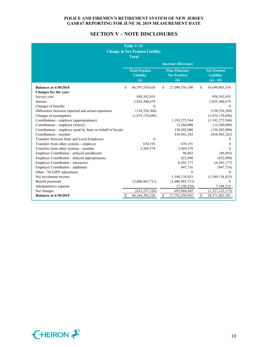# **SECTION V – NOTE DISCLOSURES**

|                                                              | <b>Table V-1C</b><br><b>Change in Net Pension Liability</b><br><b>Total</b> |    |                                                     |                                                       |
|--------------------------------------------------------------|-----------------------------------------------------------------------------|----|-----------------------------------------------------|-------------------------------------------------------|
|                                                              |                                                                             |    | <b>Increase (Decrease)</b>                          |                                                       |
|                                                              | <b>Total Pension</b><br><b>Liability</b><br>(a)                             |    | <b>Plan Fiduciary</b><br><b>Net Position</b><br>(b) | <b>Net Pension</b><br><b>Liability</b><br>$(a) - (b)$ |
| <b>Balances at 6/30/2018</b>                                 | \$<br>46,797,559,654                                                        | S. | 27,098,556,100                                      | \$<br>19,699,003,554                                  |
| Changes for the year:                                        |                                                                             |    |                                                     |                                                       |
| Service cost                                                 | 958,392,935                                                                 |    |                                                     | 958,392,935                                           |
| Interest                                                     | 3,025,500,679                                                               |    |                                                     | 3,025,500,679                                         |
| Changes of benefits                                          | $\theta$                                                                    |    |                                                     | $\Omega$                                              |
| Differences between expected and actual experience           | (138, 356, 304)                                                             |    |                                                     | (138, 356, 304)                                       |
| Changes of assumptions                                       | (1,875,170,696)                                                             |    |                                                     | (1,875,170,696)                                       |
| Contributions - employer (appropriations)                    |                                                                             |    | 1,193,275,544                                       | (1, 193, 275, 544)                                    |
| Contributions - employer (lottery)                           |                                                                             |    | 13,260,000                                          | (13,260,000)                                          |
| Contributions - employer (paid by State on behalf of locals) |                                                                             |    | 130,202,000                                         | (130, 202, 000)                                       |
| Contributions - member                                       |                                                                             |    | 410,943,242                                         | (410, 943, 242)                                       |
| Transfers between State and Local Employers                  | $\theta$                                                                    |    |                                                     | 0                                                     |
| Transfers from other systems - employer                      | 670,191                                                                     |    | 670,191                                             | 0                                                     |
| Transfers from other systems - member                        | 2,569,578                                                                   |    | 2,569,578                                           | $\theta$                                              |
| Employer Contribution - delayed enrollments                  |                                                                             |    | 96,603                                              | (96, 603)                                             |
| Employer Contribution - delayed appropriations               |                                                                             |    | 422,890                                             | (422, 890)                                            |
| Employer Contribution - retroactive                          |                                                                             |    | 6,501,177                                           | (6,501,177)                                           |
| Employer Contribution - additional                           |                                                                             |    | 847,716                                             | (847,716)                                             |
| Other - NCGIPF adjustment                                    |                                                                             |    | $\theta$                                            | $\theta$                                              |
| Net investment income                                        |                                                                             |    | 1,549,138,833                                       | (1,549,138,833)                                       |
| Benefit payments                                             | (2,606,863,711)                                                             |    | (2,606,863,711)                                     | 0                                                     |
| Administrative expense                                       |                                                                             |    | (7, 199, 218)                                       | 7,199,218                                             |
| Net changes                                                  | (633, 257, 328)                                                             |    | 693,864,845                                         | (1,327,122,173)                                       |
| <b>Balances at 6/30/2019</b>                                 | \$<br>46, 164, 302, 326                                                     | \$ | 27,792,420,945                                      | \$<br>18,371,881,381                                  |

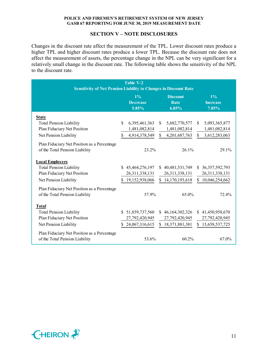# **SECTION V – NOTE DISCLOSURES**

Changes in the discount rate affect the measurement of the TPL. Lower discount rates produce a higher TPL and higher discount rates produce a lower TPL. Because the discount rate does not affect the measurement of assets, the percentage change in the NPL can be very significant for a relatively small change in the discount rate. The following table shows the sensitivity of the NPL to the discount rate.

| <b>Sensitivity of Net Pension Liability to Changes in Discount Rate</b>       |                | Table V-2                         |              |                                         |              |                                |
|-------------------------------------------------------------------------------|----------------|-----------------------------------|--------------|-----------------------------------------|--------------|--------------------------------|
|                                                                               |                | $1\%$<br><b>Decrease</b><br>5.85% |              | <b>Discount</b><br><b>Rate</b><br>6.85% |              | 1%<br><b>Increase</b><br>7.85% |
| <b>State</b>                                                                  |                |                                   |              |                                         |              |                                |
| <b>Total Pension Liability</b>                                                | S.             | 6,395,461,363                     | \$.          | 5,682,770,577                           | \$.          | 5,093,365,877                  |
| Plan Fiduciary Net Position                                                   |                | 1,481,082,814                     |              | 1,481,082,814                           |              | 1,481,082,814                  |
| Net Pension Liability                                                         | \$             | 4,914,378,549                     | $\mathbb{S}$ | 4,201,687,763                           | $\mathbb{S}$ | 3,612,283,063                  |
| Plan Fiduciary Net Position as a Percentage<br>of the Total Pension Liability |                | 23.2%                             |              | 26.1%                                   |              | 29.1%                          |
| <b>Local Employers</b>                                                        |                |                                   |              |                                         |              |                                |
| <b>Total Pension Liability</b>                                                | $\mathbb{S}^-$ | 45,464,276,197                    |              | \$40,481,531,749                        |              | \$36,357,592,793               |
| Plan Fiduciary Net Position                                                   |                | 26, 311, 338, 131                 |              | 26, 311, 338, 131                       |              | 26,311,338,131                 |
| Net Pension Liability                                                         | \$.            | 19,152,938,066                    |              | \$14,170,193,618                        | \$           | 10,046,254,662                 |
| Plan Fiduciary Net Position as a Percentage<br>of the Total Pension Liability |                | 57.9%                             |              | 65.0%                                   |              | 72.4%                          |
| <b>Total</b>                                                                  |                |                                   |              |                                         |              |                                |
| <b>Total Pension Liability</b>                                                | $\mathbb{S}^-$ | 51,859,737,560                    |              | \$46,164,302,326                        |              | \$41,450,958,670               |
| Plan Fiduciary Net Position                                                   |                | 27,792,420,945                    |              | 27,792,420,945                          |              | 27,792,420,945                 |
| Net Pension Liability                                                         | S.             | 24,067,316,615                    |              | \$18,371,881,381                        |              | \$13,658,537,725               |
| Plan Fiduciary Net Position as a Percentage<br>of the Total Pension Liability |                | 53.6%                             |              | 60.2%                                   |              | 67.0%                          |

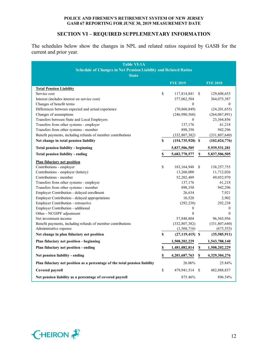# **SECTION VI – REQUIRED SUPPLEMENTARY INFORMATION**

The schedules below show the changes in NPL and related ratios required by GASB for the current and prior year.

| <b>Table VI-1A</b><br><b>Schedule of Changes in Net Pension Liability and Related Ratios</b><br><b>State</b> |              |                      |    |                  |
|--------------------------------------------------------------------------------------------------------------|--------------|----------------------|----|------------------|
|                                                                                                              |              | <b>FYE 2019</b>      |    | <b>FYE 2018</b>  |
| <b>Total Pension Liability</b>                                                                               |              |                      |    |                  |
| Service cost                                                                                                 | \$           | 117,814,841          | S  | 129,608,653      |
| Interest (includes interest on service cost)                                                                 |              | 377,062,504          |    | 364,075,387      |
| Changes of benefit terms                                                                                     |              | $\mathbf{0}$         |    | 0                |
| Differences between expected and actual experience                                                           |              | (70, 860, 849)       |    | (24, 201, 655)   |
| Changes of assumptions                                                                                       |              | (246,980,568)        |    | (264, 067, 891)  |
| Transfers between State and Local Employers                                                                  |              | 0                    |    | 23,364,856       |
| Transfers from other systems - employer                                                                      |              | 137,176              |    | 61,218           |
| Transfers from other systems - member                                                                        |              | 898,350              |    | 942,296          |
| Benefit payments, including refunds of member contributions                                                  |              | (332, 807, 382)      |    | (331,807,640)    |
| Net change in total pension liability                                                                        | \$           | $(154, 735, 928)$ \$ |    | (102, 024, 776)  |
| Total pension liability - beginning                                                                          |              | 5,837,506,505        |    | 5,939,531,281    |
| Total pension liability - ending                                                                             | \$           | 5,682,770,577        | \$ | 5,837,506,505    |
| <b>Plan fiduciary net position</b>                                                                           |              |                      |    |                  |
| Contributions - employer                                                                                     | \$           | 183, 164, 948        | \$ | 138,257,755      |
| Contributions - employer (lottery)                                                                           |              | 13,260,000           |    | 11,712,026       |
| Contributions - member                                                                                       |              | 52,202,489           |    | 49,052,970       |
| Transfers from other systems - employer                                                                      |              | 137,176              |    | 61,218           |
| Transfers from other systems - member                                                                        |              | 898,350              |    | 942,296          |
| Employer Contribution - delayed enrollment                                                                   |              | 26,634               |    | 7,921            |
| Employer Contribution - delayed appropriations                                                               |              | 10,520               |    | 2,902            |
| Employer Contribution - retroactive                                                                          |              | (292, 238)           |    | 292,238          |
| Employer Contribution - additional                                                                           |              | $\boldsymbol{0}$     |    | $\boldsymbol{0}$ |
| Other - NCGIPF adjustment                                                                                    |              | $\mathbf{0}$         |    | $\mathbf{0}$     |
| Net investment income                                                                                        |              | 57,848,804           |    | 96,565,956       |
| Benefit payments, including refunds of member contributions                                                  |              | (332, 807, 382)      |    | (331, 807, 640)  |
| Administrative expense                                                                                       |              | (1, 568, 716)        |    | (673, 553)       |
| Net change in plan fiduciary net position                                                                    | \$           | $(27, 119, 415)$ \$  |    | (35,585,911)     |
| Plan fiduciary net position - beginning                                                                      |              | 1,508,202,229        |    | 1,543,788,140    |
| Plan fiduciary net position - ending                                                                         | \$           | 1,481,082,814        | S  | 1,508,202,229    |
| Net pension liability - ending                                                                               | $\mathbb S$  | 4, 201, 687, 763     | \$ | 4,329,304,276    |
| Plan fiduciary net position as a percentage of the total pension liability                                   |              | 26.06%               |    | 25.84%           |
| Covered payroll                                                                                              | $\mathbb{S}$ | 479,941,514          | \$ | 482,888,837      |
| Net pension liability as a percentage of covered payroll                                                     |              | 875.46%              |    | 896.54%          |

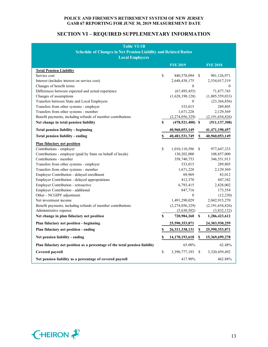# **SECTION VI – REQUIRED SUPPLEMENTARY INFORMATION**

| <b>Table VI-1B</b><br><b>Schedule of Changes in Net Pension Liability and Related Ratios</b><br><b>Local Employers</b> |    |                      |               |                 |  |  |  |  |
|------------------------------------------------------------------------------------------------------------------------|----|----------------------|---------------|-----------------|--|--|--|--|
|                                                                                                                        |    | <b>FYE 2019</b>      |               | <b>FYE 2018</b> |  |  |  |  |
| <b>Total Pension Liability</b>                                                                                         |    |                      |               |                 |  |  |  |  |
| Service cost                                                                                                           | \$ | 840,578,094          | S.            | 901,126,971     |  |  |  |  |
| Interest (includes interest on service cost)                                                                           |    | 2,648,438,175        |               | 2,534,017,319   |  |  |  |  |
| Changes of benefit terms                                                                                               |    | $\theta$             |               | 0               |  |  |  |  |
| Differences between expected and actual experience                                                                     |    | (67, 495, 455)       |               | 71,877,743      |  |  |  |  |
| Changes of assumptions                                                                                                 |    | (1,628,190,128)      |               | (1,805,559,033) |  |  |  |  |
| Transfers between State and Local Employers                                                                            |    | $\mathbf{0}$         |               | (23, 364, 856)  |  |  |  |  |
| Transfers from other systems - employer                                                                                |    | 533,015              |               | 289,805         |  |  |  |  |
| Transfers from other systems - member                                                                                  |    | 1,671,228            |               | 2,129,569       |  |  |  |  |
| Benefit payments, including refunds of member contributions                                                            |    | (2,274,056,329)      |               | (2,191,654,826) |  |  |  |  |
| Net change in total pension liability                                                                                  | \$ | $(478, 521, 400)$ \$ |               | (511, 137, 308) |  |  |  |  |
| Total pension liability - beginning                                                                                    |    | 40,960,053,149       |               | 41,471,190,457  |  |  |  |  |
| Total pension liability - ending                                                                                       | \$ | 40, 481, 531, 749    | \$            | 40,960,053,149  |  |  |  |  |
| Plan fiduciary net position                                                                                            |    |                      |               |                 |  |  |  |  |
| Contributions - employer                                                                                               | \$ | 1,010,110,596        | <sup>\$</sup> | 977,647,333     |  |  |  |  |
| Contributions - employer (paid by State on behalf of locals)                                                           |    | 130,202,000          |               | 108,857,000     |  |  |  |  |
| Contributions - member                                                                                                 |    | 358,740,753          |               | 346,551,913     |  |  |  |  |
| Transfers from other systems - employer                                                                                |    | 533,015              |               | 289,805         |  |  |  |  |
| Transfers from other systems - member                                                                                  |    | 1,671,228            |               | 2,129,569       |  |  |  |  |
| Employer Contribution - delayed enrollment                                                                             |    | 69,969               |               | 83,012          |  |  |  |  |
| Employer Contribution - delayed appropriations                                                                         |    | 412,370              |               | 447,342         |  |  |  |  |
| Employer Contribution - retroactive                                                                                    |    | 6,793,415            |               | 2,828,002       |  |  |  |  |
| Employer Contribution - additional                                                                                     |    | 847,716              |               | 173,554         |  |  |  |  |
| Other - NCGIPF adjustment                                                                                              |    | $\mathbf{0}$         |               | (12,230)        |  |  |  |  |
| Net investment income                                                                                                  |    | 1,491,290,029        |               | 2,042,915,270   |  |  |  |  |
| Benefit payments, including refunds of member contributions                                                            |    | (2,274,056,329)      |               | (2,191,654,826) |  |  |  |  |
| Administrative expense                                                                                                 |    | (5,630,502)          |               | (3,832,132)     |  |  |  |  |
| Net change in plan fiduciary net position                                                                              | \$ | 720,984,260          | <sup>S</sup>  | 1,286,423,612   |  |  |  |  |
| Plan fiduciary net position - beginning                                                                                |    | 25,590,353,871       |               | 24,303,930,259  |  |  |  |  |
| Plan fiduciary net position - ending                                                                                   | \$ | 26,311,338,131       | \$            | 25,590,353,871  |  |  |  |  |
| Net pension liability - ending                                                                                         | \$ | 14, 170, 193, 618    | \$            | 15,369,699,278  |  |  |  |  |
| Plan fiduciary net position as a percentage of the total pension liability                                             |    | 65.00%               |               | 62.48%          |  |  |  |  |
| Covered payroll                                                                                                        | \$ | 3,390,777,193        | S             | 3,320,459,492   |  |  |  |  |
| Net pension liability as a percentage of covered payroll                                                               |    | 417.90%              |               | 462.88%         |  |  |  |  |

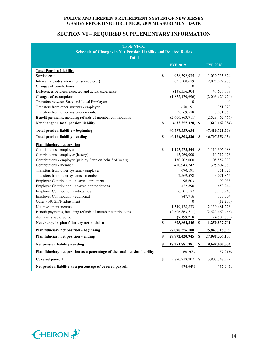# **SECTION VI – REQUIRED SUPPLEMENTARY INFORMATION**

| <b>Table VI-1C</b>                                                         |    |                      |                           |                 |  |  |  |  |
|----------------------------------------------------------------------------|----|----------------------|---------------------------|-----------------|--|--|--|--|
| <b>Schedule of Changes in Net Pension Liability and Related Ratios</b>     |    |                      |                           |                 |  |  |  |  |
| <b>Total</b>                                                               |    |                      |                           |                 |  |  |  |  |
|                                                                            |    | <b>FYE 2019</b>      |                           | <b>FYE 2018</b> |  |  |  |  |
| <b>Total Pension Liability</b>                                             |    |                      |                           |                 |  |  |  |  |
| Service cost                                                               | \$ | 958, 392, 935        | \$                        | 1,030,735,624   |  |  |  |  |
| Interest (includes interest on service cost)                               |    | 3,025,500,679        |                           | 2,898,092,706   |  |  |  |  |
| Changes of benefit terms                                                   |    | $\mathbf{0}$         |                           | $\theta$        |  |  |  |  |
| Differences between expected and actual experience                         |    | (138, 356, 304)      |                           | 47,676,088      |  |  |  |  |
| Changes of assumptions                                                     |    | (1,875,170,696)      |                           | (2,069,626,924) |  |  |  |  |
| Transfers between State and Local Employers                                |    | 0                    |                           | 0               |  |  |  |  |
| Transfers from other systems - employer                                    |    | 670,191              |                           | 351,023         |  |  |  |  |
| Transfers from other systems - member                                      |    | 2,569,578            |                           | 3,071,865       |  |  |  |  |
| Benefit payments, including refunds of member contributions                |    | (2,606,863,711)      |                           | (2,523,462,466) |  |  |  |  |
| Net change in total pension liability                                      | S  | $(633, 257, 328)$ \$ |                           | (613, 162, 084) |  |  |  |  |
| <b>Total pension liability - beginning</b>                                 |    | 46,797,559,654       |                           | 47,410,721,738  |  |  |  |  |
| Total pension liability - ending                                           | S  | 46,164,302,326       | $\boldsymbol{\mathsf{S}}$ | 46,797,559,654  |  |  |  |  |
| <b>Plan fiduciary net position</b>                                         |    |                      |                           |                 |  |  |  |  |
| Contributions - employer                                                   | \$ | 1,193,275,544        | \$                        | 1,115,905,088   |  |  |  |  |
| Contributions - employer (lottery)                                         |    | 13,260,000           |                           | 11,712,026      |  |  |  |  |
| Contributions - employer (paid by State on behalf of locals)               |    | 130,202,000          |                           | 108,857,000     |  |  |  |  |
| Contributions - member                                                     |    | 410,943,242          |                           | 395,604,883     |  |  |  |  |
| Transfers from other systems - employer                                    |    | 670,191              |                           | 351,023         |  |  |  |  |
| Transfers from other systems - member                                      |    | 2,569,578            |                           | 3,071,865       |  |  |  |  |
| Employer Contribution - delayed enrollment                                 |    | 96,603               |                           | 90,933          |  |  |  |  |
| Employer Contribution - delayed appropriations                             |    | 422,890              |                           | 450,244         |  |  |  |  |
| Employer Contribution - retroactive                                        |    | 6,501,177            |                           | 3,120,240       |  |  |  |  |
| Employer Contribution - additional                                         |    | 847,716              |                           | 173,554         |  |  |  |  |
| Other - NCGIPF adjustment                                                  |    | $\boldsymbol{0}$     |                           | (12, 230)       |  |  |  |  |
| Net investment income                                                      |    | 1,549,138,833        |                           | 2,139,481,226   |  |  |  |  |
| Benefit payments, including refunds of member contributions                |    | (2,606,863,711)      |                           | (2,523,462,466) |  |  |  |  |
| Administrative expense                                                     |    | (7,199,218)          |                           | (4,505,685)     |  |  |  |  |
| Net change in plan fiduciary net position                                  | \$ | 693,864,845 \$       |                           | 1,250,837,701   |  |  |  |  |
| Plan fiduciary net position - beginning                                    |    | 27,098,556,100       |                           | 25,847,718,399  |  |  |  |  |
| Plan fiduciary net position - ending                                       | \$ | $27,792,420,945$ \$  |                           | 27,098,556,100  |  |  |  |  |
| Net pension liability - ending                                             | \$ | 18,371,881,381       | S                         | 19,699,003,554  |  |  |  |  |
| Plan fiduciary net position as a percentage of the total pension liability |    | 60.20%               |                           | 57.91%          |  |  |  |  |
| Covered payroll                                                            | \$ | 3,870,718,707        | S                         | 3,803,348,329   |  |  |  |  |
| Net pension liability as a percentage of covered payroll                   |    | 474.64%              |                           | 517.94%         |  |  |  |  |

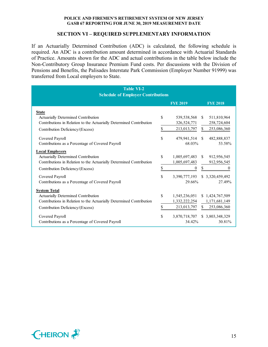# **SECTION VI – REQUIRED SUPPLEMENTARY INFORMATION**

If an Actuarially Determined Contribution (ADC) is calculated, the following schedule is required. An ADC is a contribution amount determined in accordance with Actuarial Standards of Practice. Amounts shown for the ADC and actual contributions in the table below include the Non-Contributory Group Insurance Premium Fund costs. Per discussions with the Division of Pensions and Benefits, the Palisades Interstate Park Commission (Employer Number 91999) was transferred from Local employers to State.

| <b>Table VI-2</b><br><b>Schedule of Employer Contributions</b>       |    |                 |               |                  |
|----------------------------------------------------------------------|----|-----------------|---------------|------------------|
|                                                                      |    | <b>FYE 2019</b> |               | <b>FYE 2018</b>  |
| <b>State</b>                                                         |    |                 |               |                  |
| Actuarially Determined Contribution                                  | \$ | 539,538,568     | <sup>S</sup>  | 511,810,964      |
| Contributions in Relation to the Actuarially Determined Contribution |    | 326,524,771     |               | 258,724,604      |
| Contribution Deficiency/(Excess)                                     | \$ | 213,013,797     | \$            | 253,086,360      |
| Covered Payroll                                                      | \$ | 479,941,514     | <sup>\$</sup> | 482,888,837      |
| Contributions as a Percentage of Covered Payroll                     |    | 68.03%          |               | 53.58%           |
| <b>Local Employers</b>                                               |    |                 |               |                  |
| Actuarially Determined Contribution                                  | \$ | 1,005,697,483   | \$.           | 912,956,545      |
| Contributions in Relation to the Actuarially Determined Contribution |    | 1,005,697,483   |               | 912,956,545      |
| Contribution Deficiency/(Excess)                                     | \$ | 0               | \$            | $\overline{0}$   |
| Covered Payroll                                                      | \$ | 3,390,777,193   |               | \$ 3,320,459,492 |
| Contributions as a Percentage of Covered Payroll                     |    | 29.66%          |               | 27.49%           |
| <b>System Total</b>                                                  |    |                 |               |                  |
| Actuarially Determined Contribution                                  | \$ | 1,545,236,051   |               | \$1,424,767,509  |
| Contributions in Relation to the Actuarially Determined Contribution |    | 1,332,222,254   |               | 1,171,681,149    |
| Contribution Deficiency/(Excess)                                     | \$ | 213,013,797     | \$            | 253,086,360      |
| Covered Payroll                                                      | \$ | 3,870,718,707   |               | \$ 3,803,348,329 |
| Contributions as a Percentage of Covered Payroll                     |    | 34.42%          |               | 30.81%           |

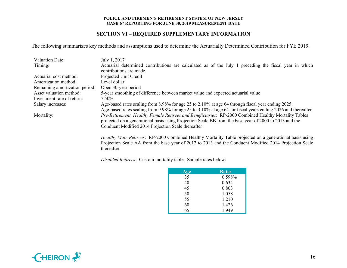### **SECTION VI – REQUIRED SUPPLEMENTARY INFORMATION**

The following summarizes key methods and assumptions used to determine the Actuarially Determined Contribution for FYE 2019.

| <b>Valuation Date:</b>         | July 1, 2017                                                                                                                                                                                                                                                                      |
|--------------------------------|-----------------------------------------------------------------------------------------------------------------------------------------------------------------------------------------------------------------------------------------------------------------------------------|
| Timing:                        | Actuarial determined contributions are calculated as of the July 1 preceding the fiscal year in which                                                                                                                                                                             |
|                                | contributions are made.                                                                                                                                                                                                                                                           |
| Actuarial cost method:         | Projected Unit Credit                                                                                                                                                                                                                                                             |
| Amortization method:           | Level dollar                                                                                                                                                                                                                                                                      |
| Remaining amortization period: | Open 30-year period                                                                                                                                                                                                                                                               |
| Asset valuation method:        | 5-year smoothing of difference between market value and expected actuarial value                                                                                                                                                                                                  |
| Investment rate of return:     | 7.50%                                                                                                                                                                                                                                                                             |
| Salary increases:              | Age-based rates scaling from 8.98% for age 25 to 2.10% at age 64 through fiscal year ending 2025;                                                                                                                                                                                 |
|                                | Age-based rates scaling from 9.98% for age 25 to 3.10% at age 64 for fiscal years ending 2026 and thereafter                                                                                                                                                                      |
| Mortality:                     | Pre-Retirement, Healthy Female Retirees and Beneficiaries: RP-2000 Combined Healthy Mortality Tables                                                                                                                                                                              |
|                                | projected on a generational basis using Projection Scale BB from the base year of 2000 to 2013 and the                                                                                                                                                                            |
|                                | Conduent Modified 2014 Projection Scale thereafter                                                                                                                                                                                                                                |
|                                |                                                                                                                                                                                                                                                                                   |
|                                | $H_1, L_1, L_2, L_3, L_4, L_5, \ldots$ . The contract of $H_1, L_2, L_3, L_4, L_5, L_5, L_6, L_7, L_8, L_9, L_1, L_2, L_3, L_4, L_6, L_7, L_8, L_9, L_1, L_2, L_3, L_4, L_6, L_7, L_8, L_9, L_1, L_2, L_3, L_4, L_6, L_7, L_8, L_9, L_1, L_2, L_3, L_4, L_6, L_7, L_8, L_9, L_1,$ |

*Healthy Male Retirees*: RP-2000 Combined Healthy Mortality Table projected on a generational basis using Projection Scale AA from the base year of 2012 to 2013 and the Conduent Modified 2014 Projection Scale thereafter

*Disabled Retirees*: Custom mortality table. Sample rates below:

| Age | <b>Rates</b> |
|-----|--------------|
| 35  | 0.598%       |
| 40  | 0.634        |
| 45  | 0.803        |
| 50  | 1.058        |
| 55  | 1.210        |
| 60  | 1.426        |
| 65  | 1.949        |

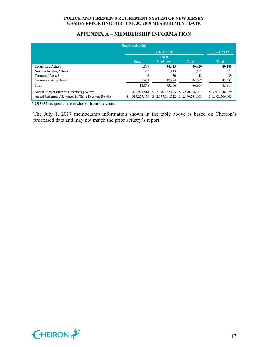# **APPENDIX A – MEMBERSHIP INFORMATION**

|                                                           | <b>Plan Membership</b> |                     |                 |                     |
|-----------------------------------------------------------|------------------------|---------------------|-----------------|---------------------|
|                                                           |                        | <b>July 1, 2018</b> |                 | <b>July 1, 2017</b> |
|                                                           |                        | Local               |                 |                     |
|                                                           | <b>State</b>           | <b>Employers</b>    | <b>Total</b>    | <b>Total</b>        |
| <b>Contributing Actives</b>                               | 6.807                  | 34.013              | 40,820          | 40,140              |
| Non-Contributing Actives                                  | 362                    | 1.113               | 1.475           | 1,377               |
| <b>Terminated Vested</b>                                  | 6                      | 36                  | 42              | 39                  |
| <b>Inactive Receiving Benefits</b>                        | 6,673                  | 37,894              | 44,567          | 43,755              |
| Total                                                     | 13,848                 | 73,056              | 86,904          | 85,311              |
| Annual Compensation for Contributing Actives              | 479.941.514            | \$ 3.390,777,193    | \$3,870,718,707 | \$3,803,348,329     |
| Annual Retirement Allowances for Those Receiving Benefits | 313,277,156            | \$2,177,011,512     | \$2.490,288,668 | \$2,402,766,603     |

\* QDRO recipients are excluded from the counts

The July 1, 2017 membership information shown in the table above is based on Cheiron's processed data and may not match the prior actuary's report.

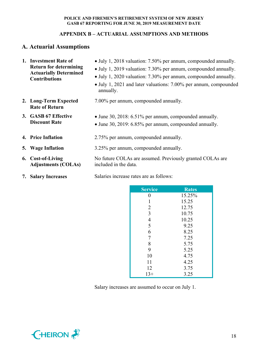# **APPENDIX B – ACTUARIAL ASSUMPTIONS AND METHODS**

# **A. Actuarial Assumptions**

| 1. Investment Rate of                                          | • July 1, 2018 valuation: 7.50% per annum, compounded annually.                    |
|----------------------------------------------------------------|------------------------------------------------------------------------------------|
| <b>Return for determining</b><br><b>Actuarially Determined</b> | • July 1, 2019 valuation: 7.30% per annum, compounded annually.                    |
| <b>Contributions</b>                                           | • July 1, 2020 valuation: 7.30% per annum, compounded annually.                    |
|                                                                | • July 1, 2021 and later valuations: 7.00% per annum, compounded<br>annually.      |
| 2. Long-Term Expected<br><b>Rate of Return</b>                 | 7.00% per annum, compounded annually.                                              |
| 3. GASB 67 Effective                                           | • June 30, 2018: 6.51% per annum, compounded annually.                             |
| <b>Discount Rate</b>                                           | • June 30, 2019: 6.85% per annum, compounded annually.                             |
| <b>4. Price Inflation</b>                                      | 2.75% per annum, compounded annually.                                              |
| 5. Wage Inflation                                              | 3.25% per annum, compounded annually.                                              |
| 6. Cost-of-Living<br><b>Adjustments (COLAs)</b>                | No future COLAs are assumed. Previously granted COLAs are<br>included in the data. |
|                                                                |                                                                                    |

**7. Salary Increases** Salaries increase rates are as follows:

| <b>Service</b> | <b>Rates</b> |
|----------------|--------------|
| 0              | 15.25%       |
| 1              | 15.25        |
| $\overline{2}$ | 12.75        |
| 3              | 10.75        |
| $\overline{4}$ | 10.25        |
| 5              | 9.25         |
| 6              | 8.25         |
| 7              | 7.25         |
| 8              | 5.75         |
| 9              | 5.25         |
| 10             | 4.75         |
| 11             | 4.25         |
| 12             | 3.75         |
| $13+$          | 3.25         |

Salary increases are assumed to occur on July 1.

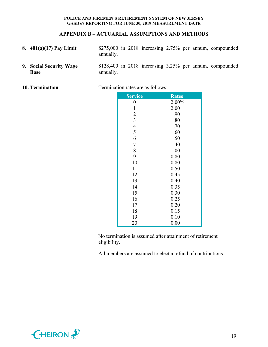# **APPENDIX B – ACTUARIAL ASSUMPTIONS AND METHODS**

- **8. 401(a)(17) Pay Limit** \$275,000 in 2018 increasing 2.75% per annum, compounded annually.
- **9. Social Security Wage**  \$128,400 in 2018 increasing 3.25% per annum, compounded annually.

| 10. Termination |  |  |
|-----------------|--|--|
|-----------------|--|--|

**Base**

**1** Termination rates are as follows:

| Service          | <b>Rates</b> |
|------------------|--------------|
| $\boldsymbol{0}$ | 2.00%        |
| $\mathbf{1}$     | 2.00         |
| $\overline{2}$   | 1.90         |
| $\overline{3}$   | 1.80         |
| $\overline{4}$   | 1.70         |
| 5                | 1.60         |
| 6                | 1.50         |
| $\overline{7}$   | 1.40         |
| 8                | 1.00         |
| 9                | 0.80         |
| 10               | 0.80         |
| 11               | 0.50         |
| 12               | 0.45         |
| 13               | 0.40         |
| 14               | 0.35         |
| 15               | 0.30         |
| 16               | 0.25         |
| 17               | 0.20         |
| 18               | 0.15         |
| 19               | 0.10         |
| 20               | 0.00         |

No termination is assumed after attainment of retirement eligibility.

All members are assumed to elect a refund of contributions.

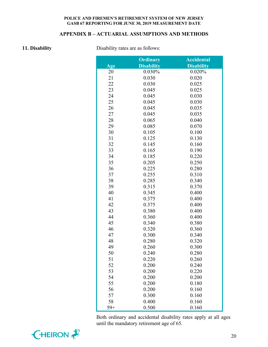# **APPENDIX B – ACTUARIAL ASSUMPTIONS AND METHODS**

**11. Disability** Disability rates are as follows:

|       | <b>Ordinary</b>   | <b>Accidental</b> |
|-------|-------------------|-------------------|
| Age   | <b>Disability</b> | <b>Disability</b> |
| 20    | 0.030%            | 0.020%            |
| 21    | 0.030             | 0.020             |
| 22    | 0.030             | 0.025             |
| 23    | 0.045             | 0.025             |
| 24    | 0.045             | 0.030             |
| 25    | 0.045             | 0.030             |
| 26    | 0.045             | 0.035             |
| 27    | 0.045             | 0.035             |
| 28    | 0.065             | 0.040             |
| 29    | 0.085             | 0.070             |
| 30    | 0.105             | 0.100             |
| 31    | 0.125             | 0.130             |
| 32    | 0.145             | 0.160             |
| 33    | 0.165             | 0.190             |
| 34    | 0.185             | 0.220             |
| 35    | 0.205             | 0.250             |
| 36    | 0.225             | 0.280             |
| 37    | 0.255             | 0.310             |
| 38    | 0.285             | 0.340             |
| 39    | 0.315             | 0.370             |
| 40    | 0.345             | 0.400             |
| 41    | 0.375             | 0.400             |
| 42    | 0.375             | 0.400             |
| 43    | 0.380             | 0.400             |
| 44    | 0.360             | 0.400             |
| 45    | 0.340             | 0.380             |
| 46    | 0.320             | 0.360             |
| 47    | 0.300             | 0.340             |
| 48    | 0.280             | 0.320             |
| 49    | 0.260             | 0.300             |
| 50    | 0.240             | 0.280             |
| 51    | 0.220             | 0.260             |
| 52    | 0.200             | 0.240             |
| 53    | 0.200             | 0.220             |
| 54    | 0.200             | 0.200             |
| 55    | 0.200             | 0.180             |
| 56    | 0.200             | 0.160             |
| 57    | 0.300             | 0.160             |
| 58    | 0.400             | 0.160             |
| $59+$ | 0.500             | 0.160             |

Both ordinary and accidental disability rates apply at all ages until the mandatory retirement age of 65.

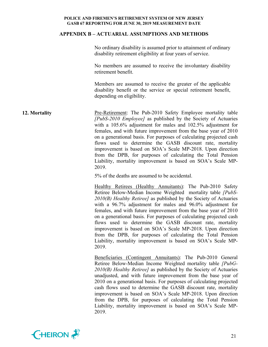### **APPENDIX B – ACTUARIAL ASSUMPTIONS AND METHODS**

No ordinary disability is assumed prior to attainment of ordinary disability retirement eligibility at four years of service.

No members are assumed to receive the involuntary disability retirement benefit.

Members are assumed to receive the greater of the applicable disability benefit or the service or special retirement benefit, depending on eligibility.

**12. Mortality** Pre-Retirement: The Pub-2010 Safety Employee mortality table *[PubS-2010 Employee]* as published by the Society of Actuaries with a 105.6% adjustment for males and 102.5% adjustment for females, and with future improvement from the base year of 2010 on a generational basis. For purposes of calculating projected cash flows used to determine the GASB discount rate, mortality improvement is based on SOA's Scale MP-2018. Upon direction from the DPB, for purposes of calculating the Total Pension Liability, mortality improvement is based on SOA's Scale MP-2019.

5% of the deaths are assumed to be accidental.

Healthy Retirees (Healthy Annuitants): The Pub-2010 Safety Retiree Below-Median Income Weighted mortality table *[PubS-2010(B) Healthy Retiree]* as published by the Society of Actuaries with a 96.7% adjustment for males and 96.0% adjustment for females, and with future improvement from the base year of 2010 on a generational basis. For purposes of calculating projected cash flows used to determine the GASB discount rate, mortality improvement is based on SOA's Scale MP-2018. Upon direction from the DPB, for purposes of calculating the Total Pension Liability, mortality improvement is based on SOA's Scale MP-2019.

Beneficiaries (Contingent Annuitants): The Pub-2010 General Retiree Below-Median Income Weighted mortality table *[PubG-2010(B) Healthy Retiree]* as published by the Society of Actuaries unadjusted, and with future improvement from the base year of 2010 on a generational basis. For purposes of calculating projected cash flows used to determine the GASB discount rate, mortality improvement is based on SOA's Scale MP-2018. Upon direction from the DPB, for purposes of calculating the Total Pension Liability, mortality improvement is based on SOA's Scale MP-2019.

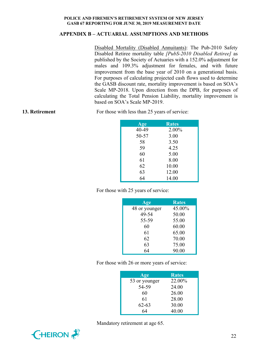# **APPENDIX B – ACTUARIAL ASSUMPTIONS AND METHODS**

Disabled Mortality (Disabled Annuitants): The Pub-2010 Safety Disabled Retiree mortality table *[PubS-2010 Disabled Retiree]* as published by the Society of Actuaries with a 152.0% adjustment for males and 109.3% adjustment for females, and with future improvement from the base year of 2010 on a generational basis. For purposes of calculating projected cash flows used to determine the GASB discount rate, mortality improvement is based on SOA's Scale MP-2018. Upon direction from the DPB, for purposes of calculating the Total Pension Liability, mortality improvement is based on SOA's Scale MP-2019.

**13. Retirement** For those with less than 25 years of service:

| Age   | <b>Rates</b> |
|-------|--------------|
| 40-49 | 2.00%        |
| 50-57 | 3.00         |
| 58    | 3.50         |
| 59    | 4.25         |
| 60    | 5.00         |
| 61    | 8.00         |
| 62    | 10.00        |
| 63    | 12.00        |
| 64    | 14.00        |

For those with 25 years of service:

| Age           | <b>Rates</b> |
|---------------|--------------|
| 48 or younger | 45.00%       |
| 49-54         | 50.00        |
| 55-59         | 55.00        |
| 60            | 60.00        |
| 61            | 65.00        |
| 62            | 70.00        |
| 63            | 75.00        |
| 64            | 90.00        |

For those with 26 or more years of service:

| Age           | <b>Rates</b> |
|---------------|--------------|
| 53 or younger | 22.00%       |
| 54-59         | 24.00        |
| 60            | 26.00        |
| 61            | 28.00        |
| $62 - 63$     | 30.00        |
| 64            | 40.00        |



Mandatory retirement at age 65.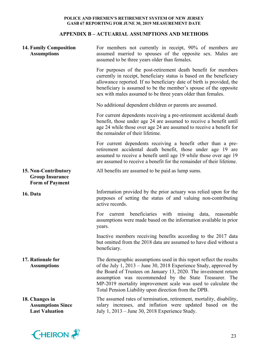# **APPENDIX B – ACTUARIAL ASSUMPTIONS AND METHODS**

| <b>14. Family Composition</b><br><b>Assumptions</b>                      | For members not currently in receipt, 90% of members are<br>assumed married to spouses of the opposite sex. Males are<br>assumed to be three years older than females.                                                                                                                                                                                                                            |
|--------------------------------------------------------------------------|---------------------------------------------------------------------------------------------------------------------------------------------------------------------------------------------------------------------------------------------------------------------------------------------------------------------------------------------------------------------------------------------------|
|                                                                          | For purposes of the post-retirement death benefit for members<br>currently in receipt, beneficiary status is based on the beneficiary<br>allowance reported. If no beneficiary date of birth is provided, the<br>beneficiary is assumed to be the member's spouse of the opposite<br>sex with males assumed to be three years older than females.                                                 |
|                                                                          | No additional dependent children or parents are assumed.                                                                                                                                                                                                                                                                                                                                          |
|                                                                          | For current dependents receiving a pre-retirement accidental death<br>benefit, those under age 24 are assumed to receive a benefit until<br>age 24 while those over age 24 are assumed to receive a benefit for<br>the remainder of their lifetime.                                                                                                                                               |
|                                                                          | For current dependents receiving a benefit other than a pre-<br>retirement accidental death benefit, those under age 19 are<br>assumed to receive a benefit until age 19 while those over age 19<br>are assumed to receive a benefit for the remainder of their lifetime.                                                                                                                         |
| 15. Non-Contributory<br><b>Group Insurance</b><br><b>Form of Payment</b> | All benefits are assumed to be paid as lump sums.                                                                                                                                                                                                                                                                                                                                                 |
| 16. Data                                                                 | Information provided by the prior actuary was relied upon for the<br>purposes of setting the status of and valuing non-contributing<br>active records.                                                                                                                                                                                                                                            |
|                                                                          | current beneficiaries with missing data, reasonable<br>For<br>assumptions were made based on the information available in prior<br>years.                                                                                                                                                                                                                                                         |
|                                                                          | Inactive members receiving benefits according to the 2017 data<br>but omitted from the 2018 data are assumed to have died without a<br>beneficiary.                                                                                                                                                                                                                                               |
| 17. Rationale for<br><b>Assumptions</b>                                  | The demographic assumptions used in this report reflect the results<br>of the July 1, $2013$ – June 30, 2018 Experience Study, approved by<br>the Board of Trustees on January 13, 2020. The investment return<br>assumption was recommended by the State Treasurer. The<br>MP-2019 mortality improvement scale was used to calculate the<br>Total Pension Liability upon direction from the DPB. |
| 18. Changes in<br><b>Assumptions Since</b><br><b>Last Valuation</b>      | The assumed rates of termination, retirement, mortality, disability,<br>salary increases, and inflation were updated based on the<br>July 1, 2013 – June 30, 2018 Experience Study.                                                                                                                                                                                                               |

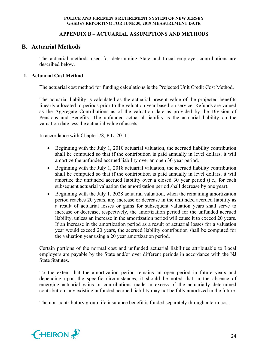# **APPENDIX B – ACTUARIAL ASSUMPTIONS AND METHODS**

# **B. Actuarial Methods**

The actuarial methods used for determining State and Local employer contributions are described below.

# **1. Actuarial Cost Method**

The actuarial cost method for funding calculations is the Projected Unit Credit Cost Method.

The actuarial liability is calculated as the actuarial present value of the projected benefits linearly allocated to periods prior to the valuation year based on service. Refunds are valued as the Aggregate Contributions as of the valuation date as provided by the Division of Pensions and Benefits. The unfunded actuarial liability is the actuarial liability on the valuation date less the actuarial value of assets.

In accordance with Chapter 78, P.L. 2011:

- Beginning with the July 1, 2010 actuarial valuation, the accrued liability contribution shall be computed so that if the contribution is paid annually in level dollars, it will amortize the unfunded accrued liability over an open 30 year period.
- Beginning with the July 1, 2018 actuarial valuation, the accrued liability contribution shall be computed so that if the contribution is paid annually in level dollars, it will amortize the unfunded accrued liability over a closed 30 year period (i.e., for each subsequent actuarial valuation the amortization period shall decrease by one year).
- Beginning with the July 1, 2028 actuarial valuation, when the remaining amortization period reaches 20 years, any increase or decrease in the unfunded accrued liability as a result of actuarial losses or gains for subsequent valuation years shall serve to increase or decrease, respectively, the amortization period for the unfunded accrued liability, unless an increase in the amortization period will cause it to exceed 20 years. If an increase in the amortization period as a result of actuarial losses for a valuation year would exceed 20 years, the accrued liability contribution shall be computed for the valuation year using a 20 year amortization period.

Certain portions of the normal cost and unfunded actuarial liabilities attributable to Local employers are payable by the State and/or over different periods in accordance with the NJ State Statutes.

To the extent that the amortization period remains an open period in future years and depending upon the specific circumstances, it should be noted that in the absence of emerging actuarial gains or contributions made in excess of the actuarially determined contribution, any existing unfunded accrued liability may not be fully amortized in the future.

The non-contributory group life insurance benefit is funded separately through a term cost.

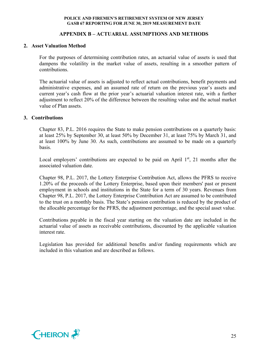# **APPENDIX B – ACTUARIAL ASSUMPTIONS AND METHODS**

# **2. Asset Valuation Method**

For the purposes of determining contribution rates, an actuarial value of assets is used that dampens the volatility in the market value of assets, resulting in a smoother pattern of contributions.

The actuarial value of assets is adjusted to reflect actual contributions, benefit payments and administrative expenses, and an assumed rate of return on the previous year's assets and current year's cash flow at the prior year's actuarial valuation interest rate, with a further adjustment to reflect 20% of the difference between the resulting value and the actual market value of Plan assets.

### **3. Contributions**

Chapter 83, P.L. 2016 requires the State to make pension contributions on a quarterly basis: at least 25% by September 30, at least 50% by December 31, at least 75% by March 31, and at least 100% by June 30. As such, contributions are assumed to be made on a quarterly basis.

Local employers' contributions are expected to be paid on April  $1<sup>st</sup>$ , 21 months after the associated valuation date.

Chapter 98, P.L. 2017, the Lottery Enterprise Contribution Act, allows the PFRS to receive 1.20% of the proceeds of the Lottery Enterprise, based upon their members' past or present employment in schools and institutions in the State for a term of 30 years. Revenues from Chapter 98, P.L. 2017, the Lottery Enterprise Contribution Act are assumed to be contributed to the trust on a monthly basis. The State's pension contribution is reduced by the product of the allocable percentage for the PFRS, the adjustment percentage, and the special asset value.

Contributions payable in the fiscal year starting on the valuation date are included in the actuarial value of assets as receivable contributions, discounted by the applicable valuation interest rate.

Legislation has provided for additional benefits and/or funding requirements which are included in this valuation and are described as follows.

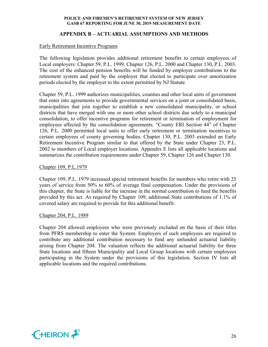# **APPENDIX B – ACTUARIAL ASSUMPTIONS AND METHODS**

# Early Retirement Incentive Programs

The following legislation provides additional retirement benefits to certain employees of Local employers: Chapter 59, P.L. 1999, Chapter 126, P.L. 2000 and Chapter 130, P.L. 2003. The cost of the enhanced pension benefits will be funded by employer contributions to the retirement system and paid by the employer that elected to participate over amortization periods elected by the employer to the extent permitted by NJ Statute.

Chapter 59, P.L. 1999 authorizes municipalities, counties and other local units of government that enter into agreements to provide governmental services on a joint or consolidated basis, municipalities that join together to establish a new consolidated municipality, or school districts that have merged with one or more other school districts due solely to a municipal consolidation, to offer incentive programs for retirement or termination of employment for employees affected by the consolidation agreements. "County ERI Section 44" of Chapter 126, P.L. 2000 permitted local units to offer early retirement or termination incentives to certain employees of county governing bodies. Chapter 130, P.L. 2003 extended an Early Retirement Incentive Program similar to that offered by the State under Chapter 23, P.L. 2002 to members of Local employer locations. Appendix E lists all applicable locations and summarizes the contribution requirements under Chapter 59, Chapter 126 and Chapter 130.

### Chapter 109, P.L.1979

Chapter 109, P.L. 1979 increased special retirement benefits for members who retire with 25 years of service from 50% to 60% of average final compensation. Under the provisions of this chapter, the State is liable for the increase in the normal contribution to fund the benefits provided by this act. As required by Chapter 109, additional State contributions of 1.1% of covered salary are required to provide for this additional benefit.

# Chapter 204, P.L. 1989

Chapter 204 allowed employees who were previously excluded on the basis of their titles from PFRS membership to enter the System. Employers of such employees are required to contribute any additional contribution necessary to fund any unfunded actuarial liability arising from Chapter 204. The valuation reflects the additional actuarial liability for three State locations and fifteen Municipality and Local Group locations with certain employees participating in the System under the provisions of this legislation. Section IV lists all applicable locations and the required contributions.

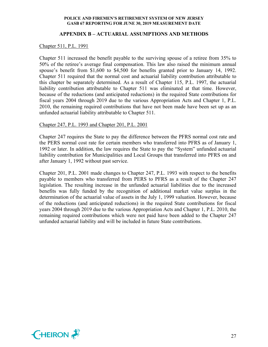# **APPENDIX B – ACTUARIAL ASSUMPTIONS AND METHODS**

#### Chapter 511, P.L. 1991

Chapter 511 increased the benefit payable to the surviving spouse of a retiree from 35% to 50% of the retiree's average final compensation. This law also raised the minimum annual spouse's benefit from \$1,600 to \$4,500 for benefits granted prior to January 14, 1992. Chapter 511 required that the normal cost and actuarial liability contribution attributable to this chapter be separately determined. As a result of Chapter 115, P.L. 1997, the actuarial liability contribution attributable to Chapter 511 was eliminated at that time. However, because of the reductions (and anticipated reductions) in the required State contributions for fiscal years 2004 through 2019 due to the various Appropriation Acts and Chapter 1, P.L. 2010, the remaining required contributions that have not been made have been set up as an unfunded actuarial liability attributable to Chapter 511.

# Chapter 247, P.L. 1993 and Chapter 201, P.L. 2001

Chapter 247 requires the State to pay the difference between the PFRS normal cost rate and the PERS normal cost rate for certain members who transferred into PFRS as of January 1, 1992 or later. In addition, the law requires the State to pay the "System" unfunded actuarial liability contribution for Municipalities and Local Groups that transferred into PFRS on and after January 1, 1992 without past service.

Chapter 201, P.L. 2001 made changes to Chapter 247, P.L. 1993 with respect to the benefits payable to members who transferred from PERS to PFRS as a result of the Chapter 247 legislation. The resulting increase in the unfunded actuarial liabilities due to the increased benefits was fully funded by the recognition of additional market value surplus in the determination of the actuarial value of assets in the July 1, 1999 valuation. However, because of the reductions (and anticipated reductions) in the required State contributions for fiscal years 2004 through 2019 due to the various Appropriation Acts and Chapter 1, P.L. 2010, the remaining required contributions which were not paid have been added to the Chapter 247 unfunded actuarial liability and will be included in future State contributions.

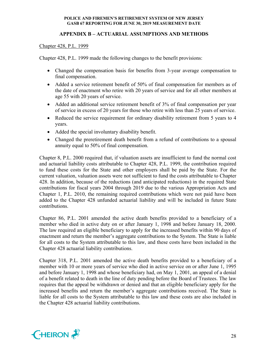# **APPENDIX B – ACTUARIAL ASSUMPTIONS AND METHODS**

# Chapter 428, P.L. 1999

Chapter 428, P.L. 1999 made the following changes to the benefit provisions:

- Changed the compensation basis for benefits from 3-year average compensation to final compensation.
- Added a service retirement benefit of 50% of final compensation for members as of the date of enactment who retire with 20 years of service and for all other members at age 55 with 20 years of service.
- Added an additional service retirement benefit of 3% of final compensation per year of service in excess of 20 years for those who retire with less than 25 years of service.
- Reduced the service requirement for ordinary disability retirement from 5 years to 4 years.
- Added the special involuntary disability benefit.
- Changed the preretirement death benefit from a refund of contributions to a spousal annuity equal to 50% of final compensation.

Chapter 8, P.L. 2000 required that, if valuation assets are insufficient to fund the normal cost and actuarial liability costs attributable to Chapter 428, P.L. 1999, the contribution required to fund these costs for the State and other employers shall be paid by the State. For the current valuation, valuation assets were not sufficient to fund the costs attributable to Chapter 428. In addition, because of the reductions (and anticipated reductions) in the required State contributions for fiscal years 2004 through 2019 due to the various Appropriation Acts and Chapter 1, P.L. 2010, the remaining required contributions which were not paid have been added to the Chapter 428 unfunded actuarial liability and will be included in future State contributions.

Chapter 86, P.L. 2001 amended the active death benefits provided to a beneficiary of a member who died in active duty on or after January 1, 1998 and before January 18, 2000. The law required an eligible beneficiary to apply for the increased benefits within 90 days of enactment and return the member's aggregate contributions to the System. The State is liable for all costs to the System attributable to this law, and these costs have been included in the Chapter 428 actuarial liability contributions.

Chapter 318, P.L. 2001 amended the active death benefits provided to a beneficiary of a member with 10 or more years of service who died in active service on or after June 1, 1995 and before January 1, 1998 and whose beneficiary had, on May 1, 2001, an appeal of a denial of a benefit related to death in the line of duty pending before the Board of Trustees. The law requires that the appeal be withdrawn or denied and that an eligible beneficiary apply for the increased benefits and return the member's aggregate contributions received. The State is liable for all costs to the System attributable to this law and these costs are also included in the Chapter 428 actuarial liability contributions.

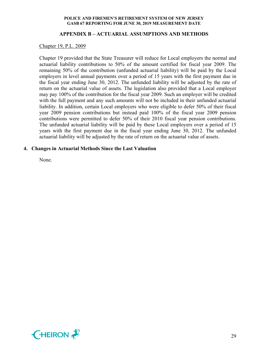# **APPENDIX B – ACTUARIAL ASSUMPTIONS AND METHODS**

#### Chapter 19, P.L. 2009

Chapter 19 provided that the State Treasurer will reduce for Local employers the normal and actuarial liability contributions to 50% of the amount certified for fiscal year 2009. The remaining 50% of the contribution (unfunded actuarial liability) will be paid by the Local employers in level annual payments over a period of 15 years with the first payment due in the fiscal year ending June 30, 2012. The unfunded liability will be adjusted by the rate of return on the actuarial value of assets. The legislation also provided that a Local employer may pay 100% of the contribution for the fiscal year 2009. Such an employer will be credited with the full payment and any such amounts will not be included in their unfunded actuarial liability. In addition, certain Local employers who were eligible to defer 50% of their fiscal year 2009 pension contributions but instead paid 100% of the fiscal year 2009 pension contributions were permitted to defer 50% of their 2010 fiscal year pension contributions. The unfunded actuarial liability will be paid by these Local employers over a period of 15 years with the first payment due in the fiscal year ending June 30, 2012. The unfunded actuarial liability will be adjusted by the rate of return on the actuarial value of assets.

# **4. Changes in Actuarial Methods Since the Last Valuation**

None.

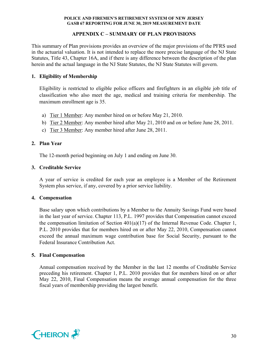# **APPENDIX C – SUMMARY OF PLAN PROVISIONS**

This summary of Plan provisions provides an overview of the major provisions of the PFRS used in the actuarial valuation. It is not intended to replace the more precise language of the NJ State Statutes, Title 43, Chapter 16A, and if there is any difference between the description of the plan herein and the actual language in the NJ State Statutes, the NJ State Statutes will govern.

# **1. Eligibility of Membership**

Eligibility is restricted to eligible police officers and firefighters in an eligible job title of classification who also meet the age, medical and training criteria for membership. The maximum enrollment age is 35.

- a) Tier 1 Member: Any member hired on or before May 21, 2010.
- b) Tier 2 Member: Any member hired after May 21, 2010 and on or before June 28, 2011.
- c) Tier 3 Member: Any member hired after June 28, 2011.

# **2. Plan Year**

The 12-month period beginning on July 1 and ending on June 30.

# **3. Creditable Service**

A year of service is credited for each year an employee is a Member of the Retirement System plus service, if any, covered by a prior service liability.

# **4. Compensation**

Base salary upon which contributions by a Member to the Annuity Savings Fund were based in the last year of service. Chapter 113, P.L. 1997 provides that Compensation cannot exceed the compensation limitation of Section  $401(a)(17)$  of the Internal Revenue Code. Chapter 1, P.L. 2010 provides that for members hired on or after May 22, 2010, Compensation cannot exceed the annual maximum wage contribution base for Social Security, pursuant to the Federal Insurance Contribution Act.

# **5. Final Compensation**

Annual compensation received by the Member in the last 12 months of Creditable Service preceding his retirement. Chapter 1, P.L. 2010 provides that for members hired on or after May 22, 2010, Final Compensation means the average annual compensation for the three fiscal years of membership providing the largest benefit.

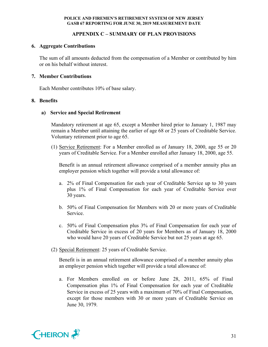# **APPENDIX C – SUMMARY OF PLAN PROVISIONS**

# **6. Aggregate Contributions**

The sum of all amounts deducted from the compensation of a Member or contributed by him or on his behalf without interest.

# **7. Member Contributions**

Each Member contributes 10% of base salary.

# **8. Benefits**

# **a) Service and Special Retirement**

Mandatory retirement at age 65, except a Member hired prior to January 1, 1987 may remain a Member until attaining the earlier of age 68 or 25 years of Creditable Service. Voluntary retirement prior to age 65.

(1) Service Retirement: For a Member enrolled as of January 18, 2000, age 55 or 20 years of Creditable Service. For a Member enrolled after January 18, 2000, age 55.

Benefit is an annual retirement allowance comprised of a member annuity plus an employer pension which together will provide a total allowance of:

- a. 2% of Final Compensation for each year of Creditable Service up to 30 years plus 1% of Final Compensation for each year of Creditable Service over 30 years.
- b. 50% of Final Compensation for Members with 20 or more years of Creditable Service.
- c. 50% of Final Compensation plus 3% of Final Compensation for each year of Creditable Service in excess of 20 years for Members as of January 18, 2000 who would have 20 years of Creditable Service but not 25 years at age 65.
- (2) Special Retirement: 25 years of Creditable Service.

Benefit is in an annual retirement allowance comprised of a member annuity plus an employer pension which together will provide a total allowance of:

a. For Members enrolled on or before June 28, 2011, 65% of Final Compensation plus 1% of Final Compensation for each year of Creditable Service in excess of 25 years with a maximum of 70% of Final Compensation, except for those members with 30 or more years of Creditable Service on June 30, 1979.

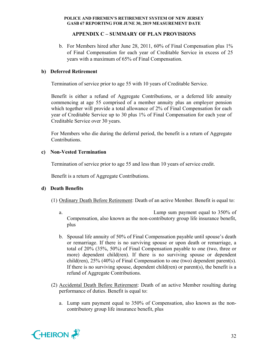# **APPENDIX C – SUMMARY OF PLAN PROVISIONS**

b. For Members hired after June 28, 2011, 60% of Final Compensation plus 1% of Final Compensation for each year of Creditable Service in excess of 25 years with a maximum of 65% of Final Compensation.

# **b) Deferred Retirement**

Termination of service prior to age 55 with 10 years of Creditable Service.

Benefit is either a refund of Aggregate Contributions, or a deferred life annuity commencing at age 55 comprised of a member annuity plus an employer pension which together will provide a total allowance of 2% of Final Compensation for each year of Creditable Service up to 30 plus 1% of Final Compensation for each year of Creditable Service over 30 years.

For Members who die during the deferral period, the benefit is a return of Aggregate Contributions.

# **c) Non-Vested Termination**

Termination of service prior to age 55 and less than 10 years of service credit.

Benefit is a return of Aggregate Contributions.

# **d) Death Benefits**

- (1) Ordinary Death Before Retirement: Death of an active Member. Benefit is equal to:
	- a. Lump sum payment equal to 350% of Compensation, also known as the non-contributory group life insurance benefit, plus
	- b. Spousal life annuity of 50% of Final Compensation payable until spouse's death or remarriage. If there is no surviving spouse or upon death or remarriage, a total of 20% (35%, 50%) of Final Compensation payable to one (two, three or more) dependent child(ren). If there is no surviving spouse or dependent child(ren),  $25\%$  (40%) of Final Compensation to one (two) dependent parent(s). If there is no surviving spouse, dependent child(ren) or parent(s), the benefit is a refund of Aggregate Contributions.
- (2) Accidental Death Before Retirement: Death of an active Member resulting during performance of duties. Benefit is equal to:
	- a. Lump sum payment equal to 350% of Compensation, also known as the noncontributory group life insurance benefit, plus

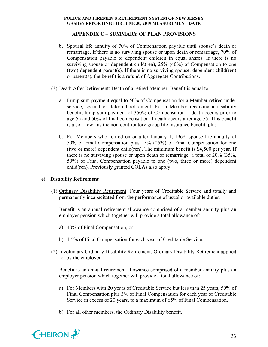# **APPENDIX C – SUMMARY OF PLAN PROVISIONS**

- b. Spousal life annuity of 70% of Compensation payable until spouse's death or remarriage. If there is no surviving spouse or upon death or remarriage, 70% of Compensation payable to dependent children in equal shares. If there is no surviving spouse or dependent child(ren), 25% (40%) of Compensation to one (two) dependent parent(s). If there is no surviving spouse, dependent child(ren) or parent(s), the benefit is a refund of Aggregate Contributions.
- (3) Death After Retirement: Death of a retired Member. Benefit is equal to:
	- a. Lump sum payment equal to 50% of Compensation for a Member retired under service, special or deferred retirement. For a Member receiving a disability benefit, lump sum payment of 350% of Compensation if death occurs prior to age 55 and 50% of final compensation if death occurs after age 55. This benefit is also known as the non-contributory group life insurance benefit, plus
	- b. For Members who retired on or after January 1, 1968, spouse life annuity of 50% of Final Compensation plus 15% (25%) of Final Compensation for one (two or more) dependent child(ren). The minimum benefit is \$4,500 per year. If there is no surviving spouse or upon death or remarriage, a total of 20% (35%, 50%) of Final Compensation payable to one (two, three or more) dependent child(ren). Previously granted COLAs also apply.

# **e) Disability Retirement**

(1) Ordinary Disability Retirement: Four years of Creditable Service and totally and permanently incapacitated from the performance of usual or available duties.

Benefit is an annual retirement allowance comprised of a member annuity plus an employer pension which together will provide a total allowance of:

- a) 40% of Final Compensation, or
- b) 1.5% of Final Compensation for each year of Creditable Service.
- (2) Involuntary Ordinary Disability Retirement: Ordinary Disability Retirement applied for by the employer.

Benefit is an annual retirement allowance comprised of a member annuity plus an employer pension which together will provide a total allowance of:

- a) For Members with 20 years of Creditable Service but less than 25 years, 50% of Final Compensation plus 3% of Final Compensation for each year of Creditable Service in excess of 20 years, to a maximum of 65% of Final Compensation.
- b) For all other members, the Ordinary Disability benefit.

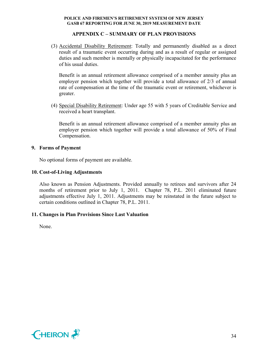# **APPENDIX C – SUMMARY OF PLAN PROVISIONS**

(3) Accidental Disability Retirement: Totally and permanently disabled as a direct result of a traumatic event occurring during and as a result of regular or assigned duties and such member is mentally or physically incapacitated for the performance of his usual duties.

Benefit is an annual retirement allowance comprised of a member annuity plus an employer pension which together will provide a total allowance of 2/3 of annual rate of compensation at the time of the traumatic event or retirement, whichever is greater.

(4) Special Disability Retirement: Under age 55 with 5 years of Creditable Service and received a heart transplant.

Benefit is an annual retirement allowance comprised of a member annuity plus an employer pension which together will provide a total allowance of 50% of Final Compensation.

# **9. Forms of Payment**

No optional forms of payment are available.

# **10. Cost-of-Living Adjustments**

Also known as Pension Adjustments. Provided annually to retirees and survivors after 24 months of retirement prior to July 1, 2011. Chapter 78, P.L. 2011 eliminated future adjustments effective July 1, 2011. Adjustments may be reinstated in the future subject to certain conditions outlined in Chapter 78, P.L. 2011.

# **11. Changes in Plan Provisions Since Last Valuation**

None.

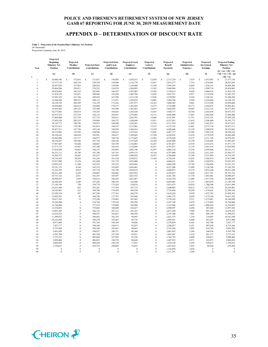# **APPENDIX D – DETERMINATION OF DISCOUNT RATE**

# **Table 1 - Projection of the Pension Plan's Fiduciary Net Position** (In Thousands) Projections Commence June 30, 2019

| Year                    | Projected<br><b>Beginning</b><br><b>Fiduciary Net</b><br>Position | Projected<br>Member<br>Contributions | <b>Projected State</b><br>Contributions | <b>Projected State-</b><br>paid Local<br>Contributions | <b>Projected Local</b><br><b>Employer</b><br>Contributions | Projected<br>Lottery<br>Contributions | Projected<br>Benefit<br><b>Payments</b> | Projected<br>Administrative<br><b>Expenses</b> | Projected<br><b>Investment</b><br><b>Earnings</b> | <b>Projected Ending</b><br><b>Fiduciary Net</b><br>Position<br>$(j) = (a) + (b) + (c)$ |
|-------------------------|-------------------------------------------------------------------|--------------------------------------|-----------------------------------------|--------------------------------------------------------|------------------------------------------------------------|---------------------------------------|-----------------------------------------|------------------------------------------------|---------------------------------------------------|----------------------------------------------------------------------------------------|
| k                       | (a)                                                               | (b)                                  | (c)                                     | (d)                                                    | (e)                                                        | (f)                                   | (g)                                     | (h)                                            | (i)                                               | $+(d)+(e)+(f)-(g)$<br>$-(h) + (i)$                                                     |
| $\mathbf{1}$            | $\mathbf{s}$<br>26,686,546                                        | s<br>372,016                         | Ś<br>213,857                            | s<br>159,085                                           | s<br>1.038.351                                             | Ś<br>12.859                           | S<br>2.713.230                          | s<br>7.419                                     | Ś<br>1.815.092                                    | s<br>27,577,156                                                                        |
| $\overline{2}$          | 27,577,156                                                        | 364,734                              | 230.528                                 | 154,940                                                | 1,132,770                                                  | 13,037                                | 2,833,377                               | 7,733                                          | 1,874,983                                         | 28,507,039                                                                             |
| $\overline{\mathbf{3}}$ | 28,507,039                                                        | 357,963                              | 240,818                                 | 154,994                                                | 1,144,988                                                  | 13,190                                | 2,943,295                               | 8,024                                          | 1,936,533                                         | 29,404,206                                                                             |
| $\overline{4}$          | 29,404,206                                                        | 350,811                              | 274,222                                 | 156,970                                                | 1,284,895                                                  | 13,343                                | 3,049,984                               | 8,316                                          | 1,998,718                                         | 30,424,865                                                                             |
| 5                       | 30,424,865                                                        | 342,165                              | 282,845                                 | 160,397                                                | 1,297,005                                                  | 13,505                                | 3,159,613                               | 8,620                                          | 2,066,610                                         | 31,419,159                                                                             |
| 6                       | 31,419,159                                                        | 332,821                              | 290,960                                 | 163,838                                                | 1,306,706                                                  | 13,670                                | 3,267,521                               | 8,917                                          | 2,132,638                                         | 32,383,353                                                                             |
| $\overline{7}$          | 32,383,353                                                        | 321,786                              | 299,654                                 | 167,298                                                | 1,315,158                                                  | 13,836                                | 3,379,903                               | 9,228                                          | 2,196,341                                         | 33,308,296                                                                             |
| 8                       | 33,308,296                                                        | 309,333                              | 308,115                                 | 171,071                                                | 1,295,074                                                  | 14,005                                | 3,494,706                               | 9,549                                          | 2,256,680                                         | 34,158,318                                                                             |
| $\overline{9}$          | 34,158,318                                                        | 296,389                              | 316,159                                 | 175,242                                                | 1,297,977                                                  | 14,165                                | 3,606,565                               | 9,865                                          | 2,312,249                                         | 34,954,068                                                                             |
| 10                      | 34,954,068                                                        | 282,814                              | 324,060                                 | 179,377                                                | 1,301,045                                                  | 14,275                                | 3,716,080                               | 10,173                                         | 2,364,075                                         | 35,693,461                                                                             |
| 11                      | 35,693,461                                                        | 269,125                              | 332,449                                 | 183,490                                                | 1,302,963                                                  | 14,419                                | 3,820,503                               | 10,465                                         | 2,412,122                                         | 36,377,062                                                                             |
| 12                      | 36,377,062                                                        | 254,014                              | 334,343                                 | 184,035                                                | 1,292,828                                                  | 14,565                                | 3,928,377                               | 10,764                                         | 2,455,630                                         | 36,973,335                                                                             |
| 13                      | 36,973,335                                                        | 237,534                              | 336,115                                 | 184,431                                                | 1,279,402                                                  | 14,712                                | 4,038,808                               | 11,067                                         | 2,492,826                                         | 37,468,480                                                                             |
| 14                      | 37,468,480                                                        | 221,334                              | 337,753                                 | 184,411                                                | 1,262,591                                                  | 14,860                                | 4,141,691                               | 11,351                                         | 2,523,141                                         | 37,859,528                                                                             |
| 15                      | 37,859,528                                                        | 205,355                              | 339,069                                 | 184,372                                                | 1,244,698                                                  | 15,011                                | 4,237,051                               | 11,618                                         | 2,546,409                                         | 38,145,773                                                                             |
| 16                      | 38,145,773                                                        | 190,740                              | 339,915                                 | 184,280                                                | 1,228,201                                                  | 15,162                                | 4,317,529                               | 11,842                                         | 2,562,912                                         | 38,337,612                                                                             |
| 17                      | 38,337,612                                                        | 178,780                              | 341,014                                 | 184,197                                                | 1,213,962                                                  | 15,315                                | 4,375,103                               | 12,001                                         | 2,573,734                                         | 38,457,511                                                                             |
| 18                      | 38,457,511                                                        | 167,726                              | 343,144                                 | 184,295                                                | 1,204,414                                                  | 15,470                                | 4,420,646                               | 12,130                                         | 2,580,078                                         | 38,519,862                                                                             |
| 19                      | 38,519,862                                                        | 155,205                              | 344,946                                 | 184,612                                                | 1,197,642                                                  | 15,626                                | 4,467,717                               | 12,266                                         | 2,582,334                                         | 38,520,243                                                                             |
| 20                      | 38,520,243                                                        | 140,454                              | 345,991                                 | 184,817                                                | 1,189,045                                                  | 15,784                                | 4,520,932                               | 12,416                                         | 2,579,910                                         | 38,442,898                                                                             |
| 21                      | 38,442,898                                                        | 123,717                              | 346,977                                 | 184,756                                                | 1,175,665                                                  | 15,943                                | 4,578,820                               | 12,575                                         | 2,571,726                                         | 38,270,287                                                                             |
| 22                      | 38,270,287                                                        | 105,588                              | 347,756                                 | 184,356                                                | 1,157,629                                                  | 16,104                                | 4,638,060                               | 12,739                                         | 2,556,685                                         | 37,987,607                                                                             |
| 23                      | 37,987,607                                                        | 85,668                               | 348,067                                 | 183,789                                                | 1,136,083                                                  | 16,267                                | 4,701,057                               | 12,919                                         | 2,533,672                                         | 37,577,175                                                                             |
| 24                      | 37,577,175                                                        | 63,901                               | 347,100                                 | 183,014                                                | 1,110,869                                                  | 16,431                                | 4,767,871                               | 13,118                                         | 2,501,419                                         | 37,018,920                                                                             |
| 25                      | 37,018,920                                                        | 45,863                               | 344,197                                 | 182,093                                                | 1,082,146                                                  | 16,597                                | 4,805,316                               | 13,236                                         | 2,459,846                                         | 36,331,111                                                                             |
| 26                      | 36,331,111                                                        | 34,746                               | 341,700                                 | 181,181                                                | 1,059,155                                                  | 16,764                                | 4,797,809                               | 13,224                                         | 2,411,103                                         | 35,564,727                                                                             |
| 27                      | 35,564,727                                                        | 26,685                               | 341,071                                 | 181,095                                                | 1,046,826                                                  | 16,933                                | 4,768,068                               | 13,148                                         | 2,357,983                                         | 34,754,103                                                                             |
| 28                      | 34,754,103                                                        | 20,294                               | 341,236                                 | 181,350                                                | 1,038,812                                                  | 17,104                                | 4,724,291                               | 13,032                                         | 2,302,412                                         | 33,917,989                                                                             |
| 29                      | 33,917,989                                                        | 15,270                               | 341,698                                 | 181,774                                                | 1,033,080                                                  | $\boldsymbol{0}$                      | 4,668,431                               | 12,881                                         | 2,244,976                                         | 33,053,475                                                                             |
| 30                      | 33,053,475                                                        | 11.348                               | 343,522                                 | 182,333                                                | 1,029,092                                                  | $\mathbf{0}$                          | 4,602,298                               | 12,702                                         | 2,186,602                                         | 32,191,373                                                                             |
| 31                      | 32,191,373                                                        | 8,344                                | 345,535                                 | 183,003                                                | 1,026,465                                                  | $\mathbf{0}$                          | 4,527,208                               | 12,498                                         | 2,128,768                                         | 31,343,782                                                                             |
| 32                      | 31,343,782                                                        | 6,014                                | 347,710                                 | 183,766                                                | 1,024,874                                                  | $\boldsymbol{0}$                      | 4,444,873                               | 12,272                                         | 2,072,248                                         | 30,521,248                                                                             |
| 33                      | 30,521,248                                                        | 4,258                                | 350,007                                 | 184,602                                                | 1,023,952                                                  | $\boldsymbol{0}$                      | 4,356,057                               | 12,029                                         | 2,017,741                                         | 29,733,722                                                                             |
| 34                      | 29,733,722                                                        | 2,931                                | 352,387                                 | 185,497                                                | 1,023,552                                                  | $\boldsymbol{0}$<br>$\mathbf{0}$      | 4,261,764                               | 11,770                                         | 1,965,901                                         | 28,990,457                                                                             |
| 35                      | 28,990,457                                                        | 1,959<br>1,260                       | 354,812                                 | 186,443                                                | 1,023,467                                                  | $\boldsymbol{0}$                      | 4,162,550                               | 11,498                                         | 1,917,350                                         | 28,300,439                                                                             |
| 36                      | 28,300,439                                                        |                                      | 357,282                                 | 180,185                                                | 516,940                                                    | $\theta$                              | 4,059,003                               | 11,213                                         | 1,863,859                                         | 27,149,749                                                                             |
| 37<br>38                | 27,149,749<br>25,631,496                                          | 758<br>432                           | 359,778<br>362,281                      | 175,424<br>175,784                                     | 128,074<br>107,733                                         | $\mathbf{0}$                          | 3,951,675<br>3,840,803                  | 10,918<br>10,612                               | 1,780,306                                         | 25,631,496<br>24,103,881                                                               |
| 39                      | 24,103,881                                                        | 223                                  | 364,790                                 | 176,428                                                | 106,550                                                    | $\mathbf{0}$                          | 3,726,884                               | 10,299                                         | 1,677,570<br>1,574,622                            | 22,589,310                                                                             |
| 40                      | 22,589,310                                                        | 107                                  | 367,296                                 | 177,101                                                | 106,279                                                    | $\mathbf{0}$                          | 3,610,226                               | 9,978                                          | 1,472,701                                         | 21,092,591                                                                             |
| 41                      | 21,092,591                                                        | 42                                   | 369,798                                 | 177,787                                                | 105,940                                                    | $\bf{0}$                              | 3,491,275                               | 9,650                                          | 1,372,109                                         | 19,617,342                                                                             |
| 42                      | 19,617,342                                                        | 13                                   | 372,290                                 | 178,482                                                | 105,443                                                    | $\boldsymbol{0}$                      | 3,370,342                               | 9,317                                          | 1,273,087                                         | 18,166,998                                                                             |
| 43                      | 18,166,998                                                        | $\overline{4}$                       | 374,769                                 | 179,184                                                | 104,769                                                    | $\boldsymbol{0}$                      | 3,247,748                               | 8,979                                          | 1,175,862                                         | 16,744,860                                                                             |
| 44                      | 16,744,860                                                        | $\mathbf{1}$                         | 377,235                                 | 179,890                                                | 103,900                                                    | $\boldsymbol{0}$                      | 3,123,846                               | 8,638                                          | 1,080,654                                         | 15,354,055                                                                             |
| 45                      | 15,354,055                                                        | $\theta$                             | 379,685                                 | 180,600                                                | 102,827                                                    | $\mathbf{0}$                          | 2,998,957                               | 8,294                                          | 987,669                                           | 13,997,585                                                                             |
| 46                      | 13,997,585                                                        | $\mathbf{0}$                         | 382,123                                 | 181,312                                                | 101,555                                                    | $\overline{0}$                        | 2,873,399                               | 7,948                                          | 897,107                                           | 12,678,335                                                                             |
| 47                      | 12,678,335                                                        | $\theta$                             | 384,547                                 | 182,027                                                | 100,104                                                    | $\theta$                              | 2,747,500                               | 7,601                                          | 809,158                                           | 11,399,072                                                                             |
| 48                      | 11,399,072                                                        | $\theta$                             | 386,963                                 | 182,745                                                | 98,493                                                     | $\mathbf{0}$                          | 2,621,575                               | 7,254                                          | 724,007                                           | 10,162,450                                                                             |
| 49                      | 10,162,450                                                        | $\theta$                             | 389,370                                 | 183,465                                                | 96,736                                                     | $\mathbf{0}$                          | 2,495,931                               | 6,908                                          | 641,827                                           | 8,971,008                                                                              |
| 50                      | 8,971,008                                                         | $\theta$                             | 391,769                                 | 184,188                                                | 94,846                                                     | $\mathbf{0}$                          | 2,370,859                               | 6,563                                          | 562,788                                           | 7,827,177                                                                              |
| 51                      | 7,827,177                                                         | $\theta$                             | 394,160                                 | 184,913                                                | 92,823                                                     | $\boldsymbol{0}$                      | 2,246,637                               | 6,221                                          | 487,050                                           | 6,733,266                                                                              |
| 52                      | 6,733,266                                                         | $\theta$                             | 396,546                                 | 185,641                                                | 90,665                                                     | $\mathbf{0}$                          | 2,123,544                               | 5,882                                          | 414,765                                           | 5,691,458                                                                              |
| 53                      | 5,691,458                                                         | $\theta$                             | 398,927                                 | 186,371                                                | 88,368                                                     | $\boldsymbol{0}$                      | 2,001,855                               | 5,546                                          | 346,076                                           | 4,703,798                                                                              |
| 54                      | 4,703,798                                                         | $\theta$                             | 401,304                                 | 187,104                                                | 85,931                                                     | $\boldsymbol{0}$                      | 1,881,847                               | 5,216                                          | 281,117                                           | 3,772,191                                                                              |
| 55                      | 3,772,191                                                         | $\theta$                             | 403,680                                 | 187,839                                                | 83,358                                                     | $\mathbf{0}$                          | 1,763,785                               | 4,890                                          | 220,012                                           | 2,898,404                                                                              |
| 56                      | 2,898,404                                                         | $\mathbf{0}$                         | 406,053                                 | 188,578                                                | 80,648                                                     | $\overline{0}$                        | 1,647,932                               | 4,571                                          | 162,875                                           | 2,084,054                                                                              |
| 57                      | 2,084,054                                                         | $\theta$                             | 408,424                                 | 189,318                                                | 77,812                                                     | $\theta$                              | 1,534,530                               | 4,259                                          | 109,813                                           | 1,330,633                                                                              |
| 58                      | 1,330,633                                                         | $\theta$                             | 410,793                                 | 190,062                                                | 74,852                                                     | $\mathbf{0}$                          | 1,423,822                               | 3,953                                          | 60,920                                            | 639,484                                                                                |
| 59                      | $\mathbf{0}$                                                      | $\bf{0}$                             | $\theta$                                | $\mathbf{0}$                                           | $\theta$                                                   | $\mathbf{0}$                          | 1,316,036                               | 3,656                                          | $\mathbf{0}$                                      | $\theta$                                                                               |
| 60                      | $\overline{0}$                                                    | $\theta$                             | $\theta$                                | $\mathbf{0}$                                           | $\theta$                                                   | $\theta$                              | 1,211,391                               | 3,368                                          | $\mathbf{0}$                                      | $\theta$                                                                               |
|                         |                                                                   |                                      |                                         |                                                        |                                                            |                                       |                                         |                                                |                                                   |                                                                                        |

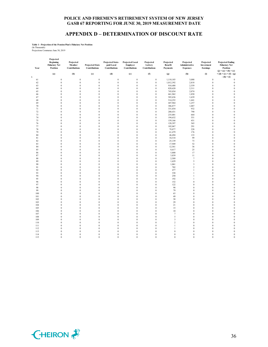# **APPENDIX D – DETERMINATION OF DISCOUNT RATE**

# **Table 1 - Projection of the Pension Plan's Fiduciary Net Position** (In Thousands) Projections Commence June 30, 2019

| Year    | Projected<br><b>Beginning</b><br><b>Fiduciary Net</b><br>Position | Projected<br>Member<br>Contributions | <b>Projected State</b><br><b>Contributions</b> | Projected State-<br>paid Local<br>Contributions | <b>Projected Local</b><br>Employer<br>Contributions | Projected<br>Lottery<br><b>Contributions</b> | Projected<br>Benefit<br>Payments | Projected<br>Administrative<br><b>Expenses</b> | Projected<br><b>Investment</b><br><b>Earnings</b> | <b>Projected Ending</b><br><b>Fiduciary Net</b><br>Position<br>$(j) = (a) + (b) + (c)$ |
|---------|-------------------------------------------------------------------|--------------------------------------|------------------------------------------------|-------------------------------------------------|-----------------------------------------------------|----------------------------------------------|----------------------------------|------------------------------------------------|---------------------------------------------------|----------------------------------------------------------------------------------------|
| $\bf k$ | (a)                                                               | (b)                                  | (c)                                            | (d)                                             | (e)                                                 | (f)                                          | (g)                              | (h)                                            | (i)                                               | $+ (d) + (e) + (f) - (g)$<br>$-(h) + (i)$                                              |
| 61      | $\boldsymbol{0}$                                                  | $\boldsymbol{0}$                     | $\boldsymbol{0}$                               | $\boldsymbol{0}$                                | $\boldsymbol{0}$                                    | $\,0\,$                                      | 1,110,103                        | 3,088                                          | $\boldsymbol{0}$                                  | $\,0\,$                                                                                |
| 62      | $\boldsymbol{0}$                                                  | $\boldsymbol{0}$                     | $\boldsymbol{0}$                               | $\boldsymbol{0}$                                | $\boldsymbol{0}$                                    | $\boldsymbol{0}$                             | 1,012,392                        | 2,818                                          | $\boldsymbol{0}$                                  | $\,0\,$                                                                                |
| 63      | $\boldsymbol{0}$                                                  | $\bf{0}$                             | $\boldsymbol{0}$                               | $\boldsymbol{0}$                                | $\boldsymbol{0}$                                    | $\,0\,$                                      | 918,488                          | 2,559                                          | $\mathbf{0}$                                      | $\,0\,$                                                                                |
| 64      | $\boldsymbol{0}$                                                  | $\boldsymbol{0}$                     | $\bf{0}$                                       | $\boldsymbol{0}$                                | $\boldsymbol{0}$                                    | $\boldsymbol{0}$                             | 828,620                          | 2,311                                          | $\boldsymbol{0}$                                  | $\boldsymbol{0}$                                                                       |
| 65      | $\mathbf{0}$                                                      | $\bf{0}$                             | $\mathbf{0}$                                   | $\boldsymbol{0}$                                | $\boldsymbol{0}$                                    | $\bf{0}$                                     | 743,034                          | 2,074                                          | $\mathbf{0}$                                      | $\bf{0}$                                                                               |
| 66      | $\boldsymbol{0}$                                                  | $\boldsymbol{0}$                     | $\boldsymbol{0}$                               | $\boldsymbol{0}$                                | $\boldsymbol{0}$                                    | $\,0\,$                                      | 661,962                          | 1,850                                          | $\boldsymbol{0}$                                  | $\boldsymbol{0}$                                                                       |
| 67      | $\boldsymbol{0}$                                                  | $\boldsymbol{0}$                     | $\boldsymbol{0}$                               | $\boldsymbol{0}$                                | $\boldsymbol{0}$                                    | $\,0\,$                                      | 585,636                          | 1,639                                          | $\boldsymbol{0}$                                  | $\,0\,$                                                                                |
| 68      | $\boldsymbol{0}$                                                  | $\bf{0}$                             | $\boldsymbol{0}$                               | $\boldsymbol{0}$                                | $\boldsymbol{0}$                                    | $\bf{0}$                                     | 514,252                          | 1,441                                          | $\mathbf{0}$                                      | $\boldsymbol{0}$                                                                       |
| 69      | $\boldsymbol{0}$                                                  | $\boldsymbol{0}$                     | $\bf{0}$                                       | $\boldsymbol{0}$                                | $\boldsymbol{0}$                                    | $\boldsymbol{0}$                             | 447,964                          | 1,257                                          | $\boldsymbol{0}$                                  | $\boldsymbol{0}$                                                                       |
| 70      | $\boldsymbol{0}$                                                  | $\boldsymbol{0}$                     | $\boldsymbol{0}$                               | $\boldsymbol{0}$                                | $\boldsymbol{0}$                                    | $\,0\,$                                      | 386,877                          | 1,087                                          | $\boldsymbol{0}$                                  | $\,0\,$                                                                                |
| 71      | $\boldsymbol{0}$                                                  | $\bf{0}$                             | $\boldsymbol{0}$                               | $\boldsymbol{0}$                                | $\boldsymbol{0}$                                    | $\boldsymbol{0}$                             | 331,034                          | 932                                            | $\boldsymbol{0}$                                  | $\,0\,$                                                                                |
| $72\,$  | $\boldsymbol{0}$                                                  | $\boldsymbol{0}$                     | $\bf{0}$                                       | $\boldsymbol{0}$                                | $\boldsymbol{0}$                                    | $\,0\,$                                      | 280,431                          | 790                                            | $\boldsymbol{0}$                                  | $\boldsymbol{0}$                                                                       |
| 73      | $\boldsymbol{0}$                                                  | $\boldsymbol{0}$                     | $\boldsymbol{0}$                               | $\boldsymbol{0}$                                | $\boldsymbol{0}$                                    | $\boldsymbol{0}$                             | 235,001                          | 664                                            | $\boldsymbol{0}$                                  | $\boldsymbol{0}$                                                                       |
| 74      | $\mathbf{0}$                                                      | $\boldsymbol{0}$                     | $\mathbf{0}$                                   | $\boldsymbol{0}$                                | $\bf{0}$                                            | $\bf{0}$                                     | 194,632                          | 551                                            | $\mathbf{0}$                                      | $\boldsymbol{0}$                                                                       |
| 75      | $\boldsymbol{0}$                                                  | $\boldsymbol{0}$                     | $\bf{0}$                                       | $\boldsymbol{0}$                                | $\boldsymbol{0}$                                    | $\bf{0}$                                     | 159,166                          | 451                                            | $\boldsymbol{0}$                                  | $\,0\,$                                                                                |
| 76      | $\boldsymbol{0}$                                                  | $\bf{0}$                             | $\boldsymbol{0}$                               | $\boldsymbol{0}$                                | $\boldsymbol{0}$                                    | $\boldsymbol{0}$                             | 128,397                          | 365                                            | $\boldsymbol{0}$                                  | $\boldsymbol{0}$                                                                       |
| 77      | $\mathbf{0}$                                                      | $\boldsymbol{0}$                     | $\mathbf{0}$                                   | $\boldsymbol{0}$                                | $\boldsymbol{0}$                                    | $\,0\,$                                      | 102,067                          | 291                                            | $\boldsymbol{0}$                                  | $\boldsymbol{0}$                                                                       |
| 78      | $\mathbf{0}$                                                      | $\mathbf{0}$                         | $\mathbf{0}$                                   | $\bf{0}$                                        | $\bf{0}$                                            | $\bf{0}$                                     | 79,877                           | 228                                            | $\mathbf{0}$                                      | $\,0\,$                                                                                |
| 79      | $\boldsymbol{0}$                                                  | $\boldsymbol{0}$                     | $\boldsymbol{0}$                               | $\boldsymbol{0}$                                | $\boldsymbol{0}$                                    | $\,0\,$                                      | 61,479                           | 176                                            | $\boldsymbol{0}$                                  | $\boldsymbol{0}$                                                                       |
| $80\,$  | $\boldsymbol{0}$                                                  | $\boldsymbol{0}$                     | $\boldsymbol{0}$                               | $\boldsymbol{0}$                                | $\boldsymbol{0}$                                    | $\,0\,$                                      | 46,494                           | 133                                            | $\boldsymbol{0}$                                  | $\boldsymbol{0}$                                                                       |
| 81      | $\mathbf{0}$                                                      | $\bf{0}$                             | $\bf{0}$                                       | $\boldsymbol{0}$                                | $\boldsymbol{0}$                                    | $\bf{0}$                                     | 34,518                           | 99                                             | $\mathbf{0}$                                      | $\boldsymbol{0}$                                                                       |
| 82      | $\mathbf{0}$                                                      | $\boldsymbol{0}$                     | $\mathbf{0}$                                   | $\boldsymbol{0}$                                | $\boldsymbol{0}$                                    | $\bf{0}$                                     | 25,139                           | 73                                             | $\mathbf{0}$                                      | $\boldsymbol{0}$                                                                       |
| 83      | $\boldsymbol{0}$                                                  | $\boldsymbol{0}$                     | $\bf{0}$                                       | $\boldsymbol{0}$                                | $\boldsymbol{0}$                                    | $\,0\,$                                      | 17,949                           | 52                                             | $\boldsymbol{0}$                                  | $\,0\,$                                                                                |
| 84      | $\mathbf{0}$                                                      | $\mathbf{0}$                         | $\mathbf{0}$                                   | $\boldsymbol{0}$                                | $\boldsymbol{0}$                                    | $\,0\,$                                      | 12,561                           | 36                                             | $\mathbf{0}$                                      | $\,0\,$                                                                                |
| 85      | $\boldsymbol{0}$                                                  | $\boldsymbol{0}$                     | $\bf{0}$                                       | $\boldsymbol{0}$                                | $\boldsymbol{0}$                                    | $\boldsymbol{0}$                             | 8,617                            | 25                                             | $\boldsymbol{0}$                                  | $\boldsymbol{0}$                                                                       |
| 86      | $\mathbf{0}$                                                      | $\bf{0}$                             | $\mathbf{0}$                                   | $\boldsymbol{0}$                                | $\boldsymbol{0}$                                    | $\bf{0}$                                     | 5,800                            | 17                                             | $\mathbf{0}$                                      | $\,0\,$                                                                                |
| 87      | $\boldsymbol{0}$                                                  | $\boldsymbol{0}$                     | $\boldsymbol{0}$                               | $\boldsymbol{0}$                                | $\boldsymbol{0}$                                    | $\boldsymbol{0}$                             | 3,839                            | $1\,1$                                         | $\boldsymbol{0}$                                  | $\boldsymbol{0}$                                                                       |
| 88      | $\boldsymbol{0}$                                                  | $\boldsymbol{0}$                     | $\boldsymbol{0}$                               | $\boldsymbol{0}$                                | $\boldsymbol{0}$                                    | $\,0\,$                                      | 2,509                            | $\boldsymbol{7}$                               | $\boldsymbol{0}$                                  | $\,$ 0 $\,$                                                                            |
| 89      | $\boldsymbol{0}$                                                  | $\bf{0}$                             | $\boldsymbol{0}$                               | $\boldsymbol{0}$                                | $\boldsymbol{0}$                                    | $\,0\,$                                      | 1,629                            | $\sqrt{5}$                                     | $\mathbf{0}$                                      | $\boldsymbol{0}$                                                                       |
| 90      | $\boldsymbol{0}$                                                  | $\boldsymbol{0}$                     | $\bf{0}$                                       | $\boldsymbol{0}$                                | $\boldsymbol{0}$                                    | $\boldsymbol{0}$                             | 1,061                            | $\overline{\mathbf{3}}$                        | $\boldsymbol{0}$                                  | $\boldsymbol{0}$                                                                       |
| 91      | $\boldsymbol{0}$                                                  | $\boldsymbol{0}$                     | $\boldsymbol{0}$                               | $\boldsymbol{0}$                                | $\boldsymbol{0}$                                    | $\,0\,$                                      | 702                              | $\overline{2}$                                 | $\boldsymbol{0}$                                  | $\,0\,$                                                                                |
| 92      | $\boldsymbol{0}$                                                  | $\bf{0}$                             | $\boldsymbol{0}$                               | $\boldsymbol{0}$                                | $\boldsymbol{0}$                                    | $\,0\,$                                      | 477                              | $\mathbf{1}$                                   | $\boldsymbol{0}$                                  | $\,0\,$                                                                                |
| 93      | $\boldsymbol{0}$                                                  | $\boldsymbol{0}$                     | $\bf{0}$                                       | $\boldsymbol{0}$                                | $\boldsymbol{0}$                                    | $\,0\,$                                      | 338                              | $\mathbf{1}$                                   | $\boldsymbol{0}$                                  | $\boldsymbol{0}$                                                                       |
| 94      | $\boldsymbol{0}$                                                  | $\boldsymbol{0}$                     | $\boldsymbol{0}$                               | $\boldsymbol{0}$                                | $\boldsymbol{0}$                                    | $\boldsymbol{0}$                             | 250                              | $\mathbf{1}$                                   | $\mathbf{0}$                                      | $\boldsymbol{0}$                                                                       |
| 95      | $\boldsymbol{0}$                                                  | $\boldsymbol{0}$                     | $\mathbf{0}$                                   | $\boldsymbol{0}$                                | $\boldsymbol{0}$                                    | $\,0\,$                                      | 192                              | 1                                              | $\mathbf{0}$                                      | $\,0\,$                                                                                |
| 96      | $\boldsymbol{0}$                                                  | $\boldsymbol{0}$                     | $\boldsymbol{0}$                               | $\boldsymbol{0}$                                | $\boldsymbol{0}$                                    | $\,$ 0 $\,$                                  | 152                              | $\boldsymbol{0}$                               | $\boldsymbol{0}$                                  | $\boldsymbol{0}$                                                                       |
| 97      | $\boldsymbol{0}$                                                  | $\bf{0}$                             | $\bf{0}$                                       | $\boldsymbol{0}$                                | $\boldsymbol{0}$                                    | $\,0\,$                                      | 122                              | $\boldsymbol{0}$                               | $\boldsymbol{0}$                                  | $\boldsymbol{0}$                                                                       |
| 98      | $\mathbf{0}$                                                      | $\boldsymbol{0}$                     | $\mathbf{0}$                                   | $\boldsymbol{0}$                                | $\boldsymbol{0}$                                    | $\,0\,$                                      | 98                               | $\theta$                                       | $\mathbf{0}$                                      | $\boldsymbol{0}$                                                                       |
| 99      | $\boldsymbol{0}$                                                  | $\boldsymbol{0}$                     | $\boldsymbol{0}$                               | $\boldsymbol{0}$                                | $\boldsymbol{0}$                                    | $\bf{0}$                                     | 79                               | $\boldsymbol{0}$                               | $\boldsymbol{0}$                                  | $\,$ 0 $\,$                                                                            |
| 100     | $\boldsymbol{0}$                                                  | $\boldsymbol{0}$                     | $\boldsymbol{0}$                               | $\boldsymbol{0}$                                | $\boldsymbol{0}$                                    | $\bf{0}$                                     | 63                               | $\boldsymbol{0}$                               | $\boldsymbol{0}$                                  | $\boldsymbol{0}$                                                                       |
| 101     | $\boldsymbol{0}$                                                  | $\boldsymbol{0}$                     | $\boldsymbol{0}$                               | $\boldsymbol{0}$                                | $\boldsymbol{0}$                                    | $\boldsymbol{0}$                             | 49                               | $\boldsymbol{0}$                               | $\boldsymbol{0}$                                  | $\boldsymbol{0}$                                                                       |
| 102     | $\mathbf{0}$                                                      | $\theta$                             | $\mathbf{0}$                                   | $\boldsymbol{0}$                                | $\boldsymbol{0}$                                    | $\,0\,$                                      | 38                               | $\theta$                                       | $\mathbf{0}$                                      | $\,0\,$                                                                                |
| 103     | $\boldsymbol{0}$                                                  | $\boldsymbol{0}$                     | $\boldsymbol{0}$                               | $\boldsymbol{0}$                                | $\boldsymbol{0}$                                    | $\bf{0}$                                     | 29                               | $\boldsymbol{0}$                               | $\boldsymbol{0}$                                  | $\,0\,$                                                                                |
| 104     | $\boldsymbol{0}$                                                  | $\boldsymbol{0}$                     | $\boldsymbol{0}$                               | $\boldsymbol{0}$                                | $\boldsymbol{0}$                                    | $\boldsymbol{0}$                             | 21                               | $\boldsymbol{0}$                               | $\boldsymbol{0}$                                  | $\,0\,$                                                                                |
| 105     | $\boldsymbol{0}$                                                  | $\mathbf{0}$                         | $\boldsymbol{0}$                               | $\boldsymbol{0}$                                | $\boldsymbol{0}$                                    | $\,0\,$                                      | 15                               | $\mathbf{0}$                                   | $\mathbf{0}$                                      | $\,0\,$                                                                                |
| 106     | $\boldsymbol{0}$                                                  | $\boldsymbol{0}$                     | $\bf{0}$                                       | $\boldsymbol{0}$                                | $\boldsymbol{0}$                                    | $\boldsymbol{0}$                             | $10\,$                           | $\boldsymbol{0}$                               | $\boldsymbol{0}$                                  | $\boldsymbol{0}$                                                                       |
| 107     | $\boldsymbol{0}$                                                  | $\bf{0}$                             | $\bf{0}$                                       | $\boldsymbol{0}$                                | $\boldsymbol{0}$                                    | $\bf{0}$                                     | $7\phantom{.0}$                  | $\bf{0}$                                       | $\boldsymbol{0}$                                  | $\bf{0}$                                                                               |
| 108     | $\boldsymbol{0}$                                                  | $\bf{0}$                             | $\boldsymbol{0}$                               | $\boldsymbol{0}$                                | $\boldsymbol{0}$                                    | $\boldsymbol{0}$                             | 5                                | $\boldsymbol{0}$                               | $\boldsymbol{0}$                                  | $\boldsymbol{0}$                                                                       |
| 109     | $\boldsymbol{0}$                                                  | $\boldsymbol{0}$                     | $\boldsymbol{0}$                               | $\boldsymbol{0}$                                | $\boldsymbol{0}$                                    | $\,0\,$                                      | 3                                | $\boldsymbol{0}$                               | $\boldsymbol{0}$                                  | $\,$ 0 $\,$                                                                            |
| 110     | $\boldsymbol{0}$                                                  | $\bf{0}$                             | $\boldsymbol{0}$                               | $\boldsymbol{0}$                                | $\boldsymbol{0}$                                    | $\bf{0}$                                     | $\overline{c}$                   | $\boldsymbol{0}$                               | $\mathbf{0}$                                      | $\boldsymbol{0}$                                                                       |
| 111     | $\boldsymbol{0}$                                                  | $\bf{0}$                             | $\boldsymbol{0}$                               | $\bf{0}$                                        | $\boldsymbol{0}$                                    | $\bf{0}$                                     | 1                                | $\boldsymbol{0}$                               | $\bf{0}$                                          | $\,0\,$                                                                                |
| 112     | $\boldsymbol{0}$                                                  | $\boldsymbol{0}$                     | $\mathbf{0}$                                   | $\mathbf{0}$                                    | $\boldsymbol{0}$                                    | $\,0\,$                                      | $\mathbf{1}$                     | $\mathbf{0}$                                   | $\boldsymbol{0}$                                  | $\boldsymbol{0}$                                                                       |
| 113     | $\boldsymbol{0}$                                                  | $\bf{0}$                             | $\boldsymbol{0}$                               | $\boldsymbol{0}$                                | $\boldsymbol{0}$                                    | $\boldsymbol{0}$                             | $\boldsymbol{0}$                 | $\boldsymbol{0}$                               | $\boldsymbol{0}$                                  | $\,0\,$                                                                                |
| 114     | $\boldsymbol{0}$                                                  | $\boldsymbol{0}$                     | $\boldsymbol{0}$                               | $\boldsymbol{0}$                                | $\boldsymbol{0}$                                    | $\,0\,$                                      | $\boldsymbol{0}$                 | $\boldsymbol{0}$                               | $\boldsymbol{0}$                                  | $\boldsymbol{0}$                                                                       |
| 115     | $\mathbf{0}$                                                      | $\bf{0}$                             | $\mathbf{0}$                                   | $\theta$                                        | $\bf{0}$                                            | $\mathbf{0}$                                 | $\Omega$                         | $\theta$                                       | $\theta$                                          | $\bf{0}$                                                                               |
|         |                                                                   |                                      |                                                |                                                 |                                                     |                                              |                                  |                                                |                                                   |                                                                                        |

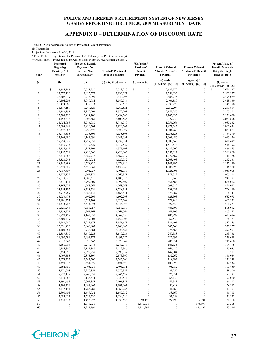# **APPENDIX D – DETERMINATION OF DISCOUNT RATE**

**Table 2 - Actuarial Present Values of Projected Benefit Payments**

(In Thousands)

Projections Commence June 30, 2019

\* From Table 1 - Projection of the Pension Plan's Fiduciary Net Position, column (a) \*\* From Table 1 - Projection of the Pension Plan's Fiduciary Net Position, column (g)

| Year             | Projected<br><b>Beginning</b><br><b>Fiduciary Net</b><br>Position* | <b>Projected Benefit</b><br><b>Payments</b> for<br>current Plan<br>participants** | "Funded" Portion of<br><b>Benefit Payments</b> | ''Unfunded''<br>Portion of<br><b>Benefit</b><br><b>Payments</b> | <b>Present Value of</b><br>"Funded" Benefit<br><b>Payments</b> | <b>Present Value of</b><br>"Unfunded" Benefit<br><b>Payments</b> | <b>Present Value of</b><br><b>Benefit Payments</b><br><b>Using the Single</b><br><b>Discount Rate</b><br>$(h) = (c) /$<br>$(1+6.85\%)$ $\cap$ $[(a) - .5]$ |  |
|------------------|--------------------------------------------------------------------|-----------------------------------------------------------------------------------|------------------------------------------------|-----------------------------------------------------------------|----------------------------------------------------------------|------------------------------------------------------------------|------------------------------------------------------------------------------------------------------------------------------------------------------------|--|
| (a)              | (b)                                                                | (c)                                                                               | (d) = (c) if (b) >= (c)                        | $(e) = (c) - (d)$                                               | $(f) = (d) /$<br>$(1+7.00\%)^{\wedge}[(a) - .5]$               | $(g) = (e) /$<br>$(1+3.50\%)$ <sup>^</sup> [(a) - .5]            |                                                                                                                                                            |  |
| $\mathbf{1}$     | \$<br>26,686,546                                                   | \$<br>2,713,230                                                                   | \$<br>2,713,230                                | \$<br>$\boldsymbol{0}$                                          | \$<br>2,622,979                                                | \$<br>$\boldsymbol{0}$                                           | 2,624,837<br>\$                                                                                                                                            |  |
| $\sqrt{2}$       | 27,577,156                                                         | 2,833,377                                                                         | 2,833,377                                      | $\boldsymbol{0}$                                                | 2,559,933                                                      | $\boldsymbol{0}$                                                 | 2,565,377                                                                                                                                                  |  |
| 3                | 28,507,039                                                         | 2,943,295                                                                         | 2,943,295                                      | $\boldsymbol{0}$                                                | 2,485,275                                                      | $\boldsymbol{0}$                                                 | 2,494,089                                                                                                                                                  |  |
| $\overline{4}$   | 29,404,206                                                         | 3,049,984                                                                         | 3,049,984                                      | $\boldsymbol{0}$                                                | 2,406,880                                                      | $\boldsymbol{0}$                                                 | 2,418,839                                                                                                                                                  |  |
| 5                | 30,424,865                                                         | 3,159,613                                                                         | 3,159,613                                      | $\boldsymbol{0}$                                                | 2,330,273                                                      | $\boldsymbol{0}$                                                 | 2,345,170                                                                                                                                                  |  |
| 6                | 31,419,159                                                         | 3,267,521                                                                         | 3,267,521                                      | $\boldsymbol{0}$                                                | 2,252,204                                                      | $\boldsymbol{0}$                                                 | 2,269,814                                                                                                                                                  |  |
| $\boldsymbol{7}$ | 32,383,353                                                         | 3,379,903                                                                         | 3,379,903                                      | $\boldsymbol{0}$                                                | 2,177,257                                                      | $\boldsymbol{0}$                                                 | 2,197,391                                                                                                                                                  |  |
| 8                | 33,308,296                                                         | 3,494,706                                                                         | 3,494,706                                      | $\boldsymbol{0}$                                                | 2,103,935                                                      | $\boldsymbol{0}$                                                 | 2,126,400                                                                                                                                                  |  |
| 9                | 34,158,318                                                         | 3,606,565                                                                         | 3,606,565                                      | $\boldsymbol{0}$                                                | 2,029,232                                                      | $\boldsymbol{0}$                                                 | 2,053,806                                                                                                                                                  |  |
| 10               | 34,954,068                                                         | 3,716,080                                                                         | 3,716,080                                      | $\mathbf{0}$                                                    | 1,954,066                                                      | $\boldsymbol{0}$                                                 | 1,980,532                                                                                                                                                  |  |
| 11               | 35,693,461                                                         | 3,820,503                                                                         | 3,820,503                                      | $\boldsymbol{0}$                                                | 1,877,547                                                      | $\boldsymbol{0}$                                                 | 1,905,674                                                                                                                                                  |  |
| 12               | 36, 377, 062                                                       | 3,928,377                                                                         | 3,928,377                                      | $\boldsymbol{0}$                                                | 1,804,263                                                      | $\boldsymbol{0}$                                                 | 1,833,887                                                                                                                                                  |  |
| 13               | 36,973,335                                                         | 4,038,808                                                                         | 4,038,808                                      | $\boldsymbol{0}$                                                | 1,733,628                                                      | $\boldsymbol{0}$                                                 | 1,764,590                                                                                                                                                  |  |
| 14               | 37,468,480                                                         | 4,141,691                                                                         | 4,141,691                                      | $\boldsymbol{0}$                                                | 1,661,486                                                      | $\boldsymbol{0}$                                                 | 1,693,556                                                                                                                                                  |  |
| 15               | 37,859,528                                                         | 4,237,051                                                                         | 4,237,051                                      | $\boldsymbol{0}$                                                | 1,588,543                                                      | $\boldsymbol{0}$                                                 | 1,621,499                                                                                                                                                  |  |
| 16               | 38,145,773                                                         | 4,317,529                                                                         | 4,317,529                                      | $\boldsymbol{0}$                                                | 1,512,818                                                      | $\boldsymbol{0}$                                                 | 1,546,392                                                                                                                                                  |  |
| 17               | 38,337,612                                                         | 4,375,103                                                                         | 4,375,103                                      | $\boldsymbol{0}$                                                | 1,432,702                                                      | $\boldsymbol{0}$                                                 | 1,466,573                                                                                                                                                  |  |
| 18               | 38,457,511                                                         | 4,420,646                                                                         | 4,420,646                                      | $\boldsymbol{0}$                                                | 1,352,912                                                      | $\boldsymbol{0}$                                                 | 1,386,860                                                                                                                                                  |  |
| 19               | 38,519,862                                                         | 4,467,717                                                                         | 4,467,717                                      | $\boldsymbol{0}$                                                | 1,277,867                                                      | $\boldsymbol{0}$                                                 | 1,311,788                                                                                                                                                  |  |
| 20               | 38,520,243                                                         | 4,520,932                                                                         | 4,520,932                                      | $\boldsymbol{0}$                                                |                                                                | $\boldsymbol{0}$                                                 | 1,242,331                                                                                                                                                  |  |
| 21               |                                                                    |                                                                                   |                                                | $\boldsymbol{0}$                                                | 1,208,493                                                      | $\boldsymbol{0}$                                                 |                                                                                                                                                            |  |
| 22               | 38,442,898<br>38,270,287                                           | 4,578,820<br>4,638,060                                                            | 4,578,820<br>4,638,060                         | $\boldsymbol{0}$                                                | 1,143,895<br>1,082,892                                         | $\boldsymbol{0}$                                                 | 1,177,590                                                                                                                                                  |  |
|                  |                                                                    |                                                                                   |                                                |                                                                 |                                                                | $\boldsymbol{0}$                                                 | 1,116,370                                                                                                                                                  |  |
| 23<br>24         | 37,987,607                                                         | 4,701,057                                                                         | 4,701,057<br>4,767,871                         | $\boldsymbol{0}$<br>$\boldsymbol{0}$                            | 1,025,795                                                      | $\boldsymbol{0}$                                                 | 1,059,006                                                                                                                                                  |  |
| 25               | 37,577,175                                                         | 4,767,871                                                                         |                                                | $\boldsymbol{0}$                                                | 972,312<br>915,840                                             | $\boldsymbol{0}$                                                 | 1,005,214<br>948,173                                                                                                                                       |  |
|                  | 37,018,920                                                         | 4,805,316                                                                         | 4,805,316                                      | $\boldsymbol{0}$                                                |                                                                | $\boldsymbol{0}$                                                 |                                                                                                                                                            |  |
| 26<br>27         | 36,331,111                                                         | 4,797,809                                                                         | 4,797,809                                      | $\boldsymbol{0}$                                                | 854,588                                                        | $\boldsymbol{0}$                                                 | 886,012<br>824,082                                                                                                                                         |  |
|                  | 35,564,727                                                         | 4,768,068                                                                         | 4,768,068                                      |                                                                 | 793,729                                                        |                                                                  |                                                                                                                                                            |  |
| 28               | 34,754,103                                                         | 4,724,291                                                                         | 4,724,291                                      | $\boldsymbol{0}$<br>$\boldsymbol{0}$                            | 734,992                                                        | $\boldsymbol{0}$<br>$\boldsymbol{0}$                             | 764,180                                                                                                                                                    |  |
| 29               | 33,917,989                                                         | 4,668,431                                                                         | 4,668,431                                      |                                                                 | 678,787                                                        |                                                                  | 706,743                                                                                                                                                    |  |
| 30<br>31         | 33,053,475                                                         | 4,602,298                                                                         | 4,602,298                                      | $\boldsymbol{0}$<br>$\mathbf{0}$                                | 625,393                                                        | $\boldsymbol{0}$<br>$\boldsymbol{0}$                             | 652,073                                                                                                                                                    |  |
|                  | 32, 191, 373                                                       | 4,527,208                                                                         | 4,527,208                                      |                                                                 | 574,944                                                        | $\boldsymbol{0}$                                                 | 600,321                                                                                                                                                    |  |
| 32<br>33         | 31, 343, 782                                                       | 4,444,873                                                                         | 4,444,873                                      | $\boldsymbol{0}$<br>$\boldsymbol{0}$                            | 527,558<br>483,193                                             | $\boldsymbol{0}$                                                 | 551,624<br>505,952                                                                                                                                         |  |
| 34               | 30,521,248                                                         | 4,356,057                                                                         | 4,356,057                                      | $\boldsymbol{0}$                                                |                                                                | $\boldsymbol{0}$                                                 |                                                                                                                                                            |  |
|                  | 29,733,722                                                         | 4,261,764                                                                         | 4,261,764                                      |                                                                 | 441,807                                                        | $\boldsymbol{0}$                                                 | 463,272                                                                                                                                                    |  |
| 35               | 28,990,457                                                         | 4,162,550                                                                         | 4,162,550                                      | $\boldsymbol{0}$                                                | 403,292                                                        | $\boldsymbol{0}$                                                 | 423,484                                                                                                                                                    |  |
| 36<br>37         | 28,300,439                                                         | 4,059,003                                                                         | 4,059,003                                      | $\boldsymbol{0}$<br>$\boldsymbol{0}$                            | 367,532                                                        | $\boldsymbol{0}$                                                 | 386,481                                                                                                                                                    |  |
|                  | 27,149,749                                                         | 3,951,675                                                                         | 3,951,675                                      |                                                                 | 334,405                                                        |                                                                  | 352,145                                                                                                                                                    |  |
| 38<br>39         | 25,631,496                                                         | 3,840,803                                                                         | 3,840,803                                      | $\boldsymbol{0}$<br>$\boldsymbol{0}$                            | 303,760                                                        | $\boldsymbol{0}$<br>$\boldsymbol{0}$                             | 320,327                                                                                                                                                    |  |
|                  | 24, 103, 881                                                       | 3,726,884                                                                         | 3,726,884                                      |                                                                 | 275,468<br>249,388                                             | $\boldsymbol{0}$                                                 | 290,903                                                                                                                                                    |  |
| 40               | 22,589,310                                                         | 3,610,226                                                                         | 3,610,226                                      | $\boldsymbol{0}$<br>$\boldsymbol{0}$                            |                                                                | $\boldsymbol{0}$                                                 | 263,735                                                                                                                                                    |  |
| 41               | 21,092,591                                                         | 3,491,275                                                                         | 3,491,275                                      |                                                                 | 225,393                                                        |                                                                  | 238,698                                                                                                                                                    |  |
| 42               | 19,617,342                                                         | 3,370,342                                                                         | 3,370,342                                      | $\mathbf{0}$                                                    | 203,351                                                        | $\boldsymbol{0}$                                                 | 215,660                                                                                                                                                    |  |
| 43               | 18,166,998                                                         | 3,247,748                                                                         | 3,247,748                                      | $\boldsymbol{0}$                                                | 183,135                                                        | $\boldsymbol{0}$                                                 | 194,496                                                                                                                                                    |  |
| 44               | 16,744,860                                                         | 3,123,846                                                                         | 3,123,846                                      | $\boldsymbol{0}$                                                | 164,625                                                        | $\boldsymbol{0}$                                                 | 175,085                                                                                                                                                    |  |
| 45               | 15,354,055                                                         | 2,998,957                                                                         | 2,998,957                                      | $\boldsymbol{0}$                                                | 147,704                                                        | $\boldsymbol{0}$                                                 | 157,312                                                                                                                                                    |  |
| 46               | 13,997,585                                                         | 2,873,399                                                                         | 2,873,399                                      | $\boldsymbol{0}$                                                | 132,262                                                        | $\boldsymbol{0}$                                                 | 141,064                                                                                                                                                    |  |
| 47               | 12,678,335                                                         | 2,747,500                                                                         | 2,747,500                                      | $\boldsymbol{0}$                                                | 118,193                                                        | $\boldsymbol{0}$                                                 | 126,238                                                                                                                                                    |  |
| 48               | 11,399,072                                                         | 2,621,575                                                                         | 2,621,575                                      | $\boldsymbol{0}$                                                | 105,398                                                        | $\boldsymbol{0}$                                                 | 112,732                                                                                                                                                    |  |
| 49               | 10,162,450                                                         | 2,495,931                                                                         | 2,495,931                                      | $\boldsymbol{0}$                                                | 93,782                                                         | $\boldsymbol{0}$                                                 | 100,450                                                                                                                                                    |  |
| 50               | 8,971,008                                                          | 2,370,859                                                                         | 2,370,859                                      | $\boldsymbol{0}$                                                | 83,255                                                         | $\boldsymbol{0}$                                                 | 89,300                                                                                                                                                     |  |
| 51               | 7,827,177                                                          | 2,246,637                                                                         | 2,246,637                                      | $\boldsymbol{0}$                                                | 73,731                                                         | $\boldsymbol{0}$                                                 | 79,197                                                                                                                                                     |  |
| 52               | 6,733,266                                                          | 2,123,544                                                                         | 2,123,544                                      | $\boldsymbol{0}$                                                | 65,132                                                         | $\boldsymbol{0}$                                                 | 70,060                                                                                                                                                     |  |
| 53               | 5,691,458                                                          | 2,001,855                                                                         | 2,001,855                                      | $\boldsymbol{0}$                                                | 57,383                                                         | $\boldsymbol{0}$                                                 | 61,812                                                                                                                                                     |  |
| 54               | 4,703,798                                                          | 1,881,847                                                                         | 1,881,847                                      | $\boldsymbol{0}$                                                | 50,414                                                         | $\boldsymbol{0}$                                                 | 54,382                                                                                                                                                     |  |
| 55               | 3,772,191                                                          | 1,763,785                                                                         | 1,763,785                                      | $\boldsymbol{0}$                                                | 44,160                                                         | $\boldsymbol{0}$                                                 | 47,703                                                                                                                                                     |  |
| 56               | 2,898,404                                                          | 1,647,932                                                                         | 1,647,932                                      | $\boldsymbol{0}$                                                | 38,560                                                         | $\boldsymbol{0}$                                                 | 41,713                                                                                                                                                     |  |
| 57               | 2,084,054                                                          | 1,534,530                                                                         | 1,534,530                                      | $\boldsymbol{0}$                                                | 33,558                                                         | $\boldsymbol{0}$                                                 | 36,353                                                                                                                                                     |  |
| 58               | 1,330,633                                                          | 1,423,822                                                                         | 1,330,633                                      | 93,190                                                          | 27,195                                                         | 12,891                                                           | 31,568                                                                                                                                                     |  |
| 59               | 0                                                                  | 1,316,036                                                                         | $\boldsymbol{0}$                               | 1,316,036                                                       | $\boldsymbol{0}$                                               | 175,897                                                          | 27,308                                                                                                                                                     |  |
| 60               | $\boldsymbol{0}$                                                   | 1,211,391                                                                         | $\boldsymbol{0}$                               | 1,211,391                                                       | $\boldsymbol{0}$                                               | 156,435                                                          | 23,526                                                                                                                                                     |  |

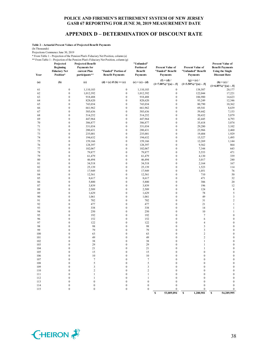# **APPENDIX D – DETERMINATION OF DISCOUNT RATE**

**Table 2 - Actuarial Present Values of Projected Benefit Payments**

(In Thousands)

Projections Commence June 30, 2019

\* From Table 1 - Projection of the Pension Plan's Fiduciary Net Position, column (a)

\*\* From Table 1 - Projection of the Pension Plan's Fiduciary Net Position, column (g) **Projected Projected Benefit** 

| <br>Year | Projected<br><b>Beginning</b><br><b>Fiduciary Net</b><br>Position* | <b>Projected Benefit</b><br><b>Payments</b> for<br>current Plan<br>participants** | 1.0011014, 0.010101<br>"Funded" Portion of<br><b>Benefit Payments</b> | "Unfunded"<br>Portion of<br>Benefit<br>Payments | <b>Present Value of</b><br>"Funded" Benefit<br><b>Payments</b> | <b>Present Value of</b><br>"Unfunded" Benefit<br><b>Payments</b> | <b>Present Value of</b><br><b>Benefit Payments</b><br><b>Using the Single</b><br><b>Discount Rate</b> |
|----------|--------------------------------------------------------------------|-----------------------------------------------------------------------------------|-----------------------------------------------------------------------|-------------------------------------------------|----------------------------------------------------------------|------------------------------------------------------------------|-------------------------------------------------------------------------------------------------------|
| (a)      | (b)                                                                | (c)                                                                               | (d) = (c) if (b) >= (c)                                               | $(e) = (c) - (d)$                               | $(f) = (d) /$<br>$(1+7.00\%)$ <sup>^</sup> [(a) - .5]          | $(g) = (e) /$<br>$(1+3.50\%)$ <sup>^</sup> [(a) - .5]            | $(h) = (c) /$<br>$(1+6.85\%)$ $\cap$ $[(a) - .5]$                                                     |
| 61       | $\boldsymbol{0}$                                                   | 1,110,103                                                                         | $\boldsymbol{0}$                                                      | 1,110,103                                       | $\boldsymbol{0}$                                               | 138,507                                                          | 20,177                                                                                                |
| 62       | $\boldsymbol{0}$                                                   | 1,012,392                                                                         | $\boldsymbol{0}$                                                      | 1,012,392                                       | $\boldsymbol{0}$                                               | 122,044                                                          | 17,221                                                                                                |
| 63       | $\boldsymbol{0}$                                                   | 918,488                                                                           | $\boldsymbol{0}$                                                      | 918,488                                         | $\boldsymbol{0}$                                               | 106,980                                                          | 14,623                                                                                                |
| 64       | $\boldsymbol{0}$                                                   | 828,620                                                                           | $\boldsymbol{0}$                                                      | 828,620                                         | $\boldsymbol{0}$                                               | 93,249                                                           | 12,346                                                                                                |
| 65       | $\boldsymbol{0}$                                                   | 743,034                                                                           | $\boldsymbol{0}$                                                      | 743,034                                         | $\boldsymbol{0}$                                               | 80,790                                                           | 10,362                                                                                                |
| 66       | $\boldsymbol{0}$                                                   | 661,962                                                                           | $\boldsymbol{0}$                                                      | 661,962                                         | $\bf{0}$                                                       | 69,541                                                           | 8,639                                                                                                 |
| 67       | $\boldsymbol{0}$                                                   | 585,636                                                                           | $\boldsymbol{0}$                                                      | 585,636                                         | $\boldsymbol{0}$                                               | 59,442                                                           | 7,153                                                                                                 |
| 68       | $\boldsymbol{0}$                                                   | 514,252                                                                           | $\boldsymbol{0}$                                                      | 514,252                                         | $\boldsymbol{0}$                                               | 50,432                                                           | 5,879                                                                                                 |
| 69       | $\boldsymbol{0}$                                                   | 447,964                                                                           | $\boldsymbol{0}$                                                      | 447,964                                         | $\boldsymbol{0}$                                               | 42,445                                                           | 4,793                                                                                                 |
| 70       | $\boldsymbol{0}$                                                   | 386,877                                                                           | $\boldsymbol{0}$                                                      | 386,877                                         | $\boldsymbol{0}$                                               | 35,418                                                           | 3,874                                                                                                 |
| 71       | $\boldsymbol{0}$                                                   | 331,034                                                                           | $\boldsymbol{0}$                                                      | 331,034                                         | $\boldsymbol{0}$                                               | 29,280                                                           | 3,102                                                                                                 |
| 72       | $\boldsymbol{0}$                                                   | 280,431                                                                           | $\boldsymbol{0}$                                                      | 280,431                                         | $\boldsymbol{0}$                                               | 23,966                                                           | 2,460                                                                                                 |
| 73       | $\boldsymbol{0}$                                                   | 235,001                                                                           | $\boldsymbol{0}$                                                      | 235,001                                         | $\boldsymbol{0}$                                               | 19,404                                                           | 1,929                                                                                                 |
| 74       | $\boldsymbol{0}$                                                   | 194,632                                                                           | $\boldsymbol{0}$                                                      | 194,632                                         | $\boldsymbol{0}$                                               | 15,527                                                           | 1,495                                                                                                 |
| 75       | $\boldsymbol{0}$                                                   | 159,166                                                                           | $\boldsymbol{0}$                                                      | 159,166                                         | $\boldsymbol{0}$                                               | 12,269                                                           | 1,144                                                                                                 |
| 76       | $\boldsymbol{0}$                                                   | 128,397                                                                           | $\boldsymbol{0}$                                                      | 128,397                                         | $\boldsymbol{0}$                                               | 9,562                                                            | 864                                                                                                   |
| 77       | $\boldsymbol{0}$                                                   | 102,067                                                                           | $\boldsymbol{0}$                                                      | 102,067                                         | $\boldsymbol{0}$                                               | 7,344                                                            | 643                                                                                                   |
| 78       | $\boldsymbol{0}$                                                   | 79,877                                                                            | $\boldsymbol{0}$                                                      | 79,877                                          | $\boldsymbol{0}$                                               | 5,553                                                            | 471                                                                                                   |
| 79       | $\boldsymbol{0}$                                                   | 61,479                                                                            | $\boldsymbol{0}$                                                      | 61,479                                          | $\boldsymbol{0}$                                               | 4,130                                                            | 339                                                                                                   |
| 80       | $\boldsymbol{0}$                                                   | 46,494                                                                            | $\boldsymbol{0}$                                                      | 46,494                                          | $\boldsymbol{0}$                                               | 3,017                                                            | 240                                                                                                   |
| 81       | $\boldsymbol{0}$                                                   | 34,518                                                                            | $\boldsymbol{0}$                                                      | 34,518                                          | $\boldsymbol{0}$                                               | 2,164                                                            | 167                                                                                                   |
| 82       | $\boldsymbol{0}$                                                   | 25,139                                                                            | $\boldsymbol{0}$                                                      | 25,139                                          | $\boldsymbol{0}$                                               | 1,523                                                            | 114                                                                                                   |
| 83       | $\boldsymbol{0}$                                                   | 17,949                                                                            | $\boldsymbol{0}$                                                      | 17,949                                          | $\boldsymbol{0}$                                               | 1,051                                                            | 76                                                                                                    |
| 84       | $\boldsymbol{0}$                                                   | 12,561                                                                            | $\boldsymbol{0}$                                                      | 12,561                                          | $\boldsymbol{0}$                                               | 710                                                              | 50                                                                                                    |
| 85       | $\boldsymbol{0}$                                                   | 8,617                                                                             | $\boldsymbol{0}$                                                      | 8,617                                           | $\boldsymbol{0}$                                               | 471                                                              | 32                                                                                                    |
| 86       | $\boldsymbol{0}$                                                   | 5,800                                                                             | $\boldsymbol{0}$                                                      | 5,800                                           | $\boldsymbol{0}$                                               | 306                                                              | 20                                                                                                    |
| 87       | $\boldsymbol{0}$                                                   | 3,839                                                                             | $\boldsymbol{0}$                                                      | 3,839                                           | $\bf{0}$                                                       | 196                                                              | 12                                                                                                    |
| 88       | $\boldsymbol{0}$                                                   | 2,509                                                                             | $\boldsymbol{0}$                                                      | 2,509                                           | $\boldsymbol{0}$                                               | 124                                                              | $\,$ 8 $\,$                                                                                           |
| 89       | $\boldsymbol{0}$                                                   | 1,629                                                                             | $\boldsymbol{0}$                                                      | 1,629                                           | $\boldsymbol{0}$                                               | 78                                                               | 5                                                                                                     |
| 90       | $\boldsymbol{0}$                                                   | 1,061                                                                             | $\boldsymbol{0}$                                                      | 1,061                                           | $\boldsymbol{0}$                                               | 49                                                               | $\overline{\mathbf{3}}$                                                                               |
| 91       | $\boldsymbol{0}$                                                   | 702                                                                               | $\boldsymbol{0}$                                                      | 702                                             | $\boldsymbol{0}$                                               | 31                                                               | $\sqrt{2}$                                                                                            |
| 92       | $\boldsymbol{0}$                                                   | 477                                                                               | $\boldsymbol{0}$                                                      | 477                                             | $\boldsymbol{0}$                                               | 21                                                               | $\mathbf{1}$                                                                                          |
| 93       | $\boldsymbol{0}$                                                   | 338                                                                               | $\boldsymbol{0}$                                                      | 338                                             | $\boldsymbol{0}$                                               | 14                                                               | $\mathbf{1}$                                                                                          |
| 94       | $\boldsymbol{0}$                                                   | 250                                                                               | $\boldsymbol{0}$                                                      | 250                                             | $\boldsymbol{0}$                                               | 10                                                               | $\mathbf{1}$                                                                                          |
| 95       | $\boldsymbol{0}$                                                   | 192                                                                               | $\boldsymbol{0}$                                                      | 192                                             | $\boldsymbol{0}$                                               | $\tau$                                                           | $\boldsymbol{0}$                                                                                      |
| 96       | $\boldsymbol{0}$                                                   | 152                                                                               | $\boldsymbol{0}$                                                      | 152                                             | $\boldsymbol{0}$                                               | 6                                                                | $\boldsymbol{0}$                                                                                      |
| 97       | $\boldsymbol{0}$                                                   | 122                                                                               | $\boldsymbol{0}$                                                      | 122                                             | $\boldsymbol{0}$                                               | $\overline{4}$                                                   | $\boldsymbol{0}$                                                                                      |
| 98       | $\boldsymbol{0}$                                                   | 98                                                                                | $\boldsymbol{0}$                                                      | 98                                              | $\boldsymbol{0}$                                               | 3                                                                | $\overline{0}$                                                                                        |
| 99       | $\boldsymbol{0}$                                                   | 79                                                                                | $\boldsymbol{0}$                                                      | 79                                              | $\boldsymbol{0}$                                               | $\mathfrak{Z}$                                                   | $\boldsymbol{0}$                                                                                      |
| 100      | $\boldsymbol{0}$                                                   | 63                                                                                | $\boldsymbol{0}$                                                      | 63                                              | $\boldsymbol{0}$                                               | $\sqrt{2}$                                                       | $\boldsymbol{0}$                                                                                      |
| 101      | $\boldsymbol{0}$                                                   | 49                                                                                | $\boldsymbol{0}$                                                      | 49                                              | $\boldsymbol{0}$                                               | $\sqrt{2}$                                                       | $\boldsymbol{0}$                                                                                      |
| 102      | $\boldsymbol{0}$                                                   | 38                                                                                | $\boldsymbol{0}$                                                      | 38                                              | $\boldsymbol{0}$                                               | $\mathbf{1}$                                                     | $\boldsymbol{0}$                                                                                      |
| 103      | $\boldsymbol{0}$                                                   | 29                                                                                | $\boldsymbol{0}$                                                      | 29                                              | $\boldsymbol{0}$                                               | $\mathbf{1}$                                                     | $\overline{0}$                                                                                        |
| 104      | $\boldsymbol{0}$                                                   | 21                                                                                | $\boldsymbol{0}$                                                      | 21                                              | $\boldsymbol{0}$                                               | $\mathbf{1}$                                                     | $\boldsymbol{0}$                                                                                      |
| 105      | $\boldsymbol{0}$                                                   | 15                                                                                | $\boldsymbol{0}$                                                      | 15                                              | $\boldsymbol{0}$                                               | $\boldsymbol{0}$                                                 | $\boldsymbol{0}$                                                                                      |
| 106      | $\mathbf{0}$                                                       | 10                                                                                | $\mathbf{0}$                                                          | 10                                              | $\mathbf{0}$                                                   | $\mathbf{0}$                                                     | $\mathbf{0}$                                                                                          |
| 107      | $\bf{0}$                                                           | 7                                                                                 | $\boldsymbol{0}$                                                      | $\tau$                                          | $\bf{0}$                                                       | $\boldsymbol{0}$                                                 | $\mathbf{0}$                                                                                          |
| 108      | $\boldsymbol{0}$                                                   | 5                                                                                 | $\boldsymbol{0}$                                                      | 5                                               | $\boldsymbol{0}$                                               | $\boldsymbol{0}$                                                 | $\overline{0}$                                                                                        |
| 109      | $\mathbf{0}$                                                       | 3                                                                                 | $\mathbf{0}$                                                          | 3                                               | $\mathbf{0}$                                                   | $\boldsymbol{0}$                                                 | $\boldsymbol{0}$                                                                                      |
| 110      | $\mathbf{0}$                                                       | $\overline{c}$                                                                    | $\boldsymbol{0}$                                                      | $\overline{c}$                                  | $\mathbf{0}$                                                   | $\boldsymbol{0}$                                                 | $\boldsymbol{0}$                                                                                      |
| 111      | $\mathbf{0}$                                                       | $\mathbf{1}$                                                                      | $\mathbf{0}$                                                          | 1                                               | $\mathbf{0}$                                                   | $\mathbf{0}$                                                     | $\mathbf{0}$                                                                                          |
| 112      | $\mathbf{0}$                                                       | 1                                                                                 | $\boldsymbol{0}$                                                      | 1                                               | $\mathbf{0}$                                                   | $\boldsymbol{0}$                                                 | $\mathbf{0}$                                                                                          |
| 113      | $\boldsymbol{0}$                                                   | $\boldsymbol{0}$                                                                  | $\boldsymbol{0}$                                                      | $\boldsymbol{0}$                                | $\bf{0}$                                                       | $\boldsymbol{0}$                                                 | $\boldsymbol{0}$                                                                                      |
| 114      | $\overline{0}$                                                     | $\boldsymbol{0}$                                                                  | $\boldsymbol{0}$                                                      | $\boldsymbol{0}$                                | $\mathbf{0}$                                                   | $\boldsymbol{0}$                                                 | $\boldsymbol{0}$                                                                                      |
| 115      | $\boldsymbol{0}$                                                   | $\boldsymbol{0}$                                                                  | $\boldsymbol{0}$                                                      | $\boldsymbol{0}$                                | $\mathbf{0}$                                                   | $\mathbf{0}$                                                     | $\boldsymbol{0}$                                                                                      |

**\$ 53,009,094 \$ 1,280,901 \$ 54,289,995**

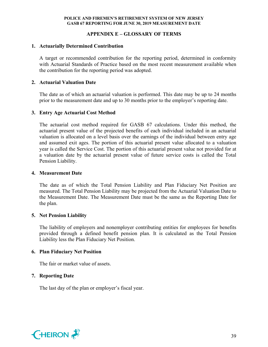# **APPENDIX E – GLOSSARY OF TERMS**

# **1. Actuarially Determined Contribution**

A target or recommended contribution for the reporting period, determined in conformity with Actuarial Standards of Practice based on the most recent measurement available when the contribution for the reporting period was adopted.

# **2. Actuarial Valuation Date**

The date as of which an actuarial valuation is performed. This date may be up to 24 months prior to the measurement date and up to 30 months prior to the employer's reporting date.

# **3. Entry Age Actuarial Cost Method**

The actuarial cost method required for GASB 67 calculations. Under this method, the actuarial present value of the projected benefits of each individual included in an actuarial valuation is allocated on a level basis over the earnings of the individual between entry age and assumed exit ages. The portion of this actuarial present value allocated to a valuation year is called the Service Cost. The portion of this actuarial present value not provided for at a valuation date by the actuarial present value of future service costs is called the Total Pension Liability.

# **4. Measurement Date**

The date as of which the Total Pension Liability and Plan Fiduciary Net Position are measured. The Total Pension Liability may be projected from the Actuarial Valuation Date to the Measurement Date. The Measurement Date must be the same as the Reporting Date for the plan.

# **5. Net Pension Liability**

The liability of employers and nonemployer contributing entities for employees for benefits provided through a defined benefit pension plan. It is calculated as the Total Pension Liability less the Plan Fiduciary Net Position.

# **6. Plan Fiduciary Net Position**

The fair or market value of assets.

# **7. Reporting Date**

The last day of the plan or employer's fiscal year.